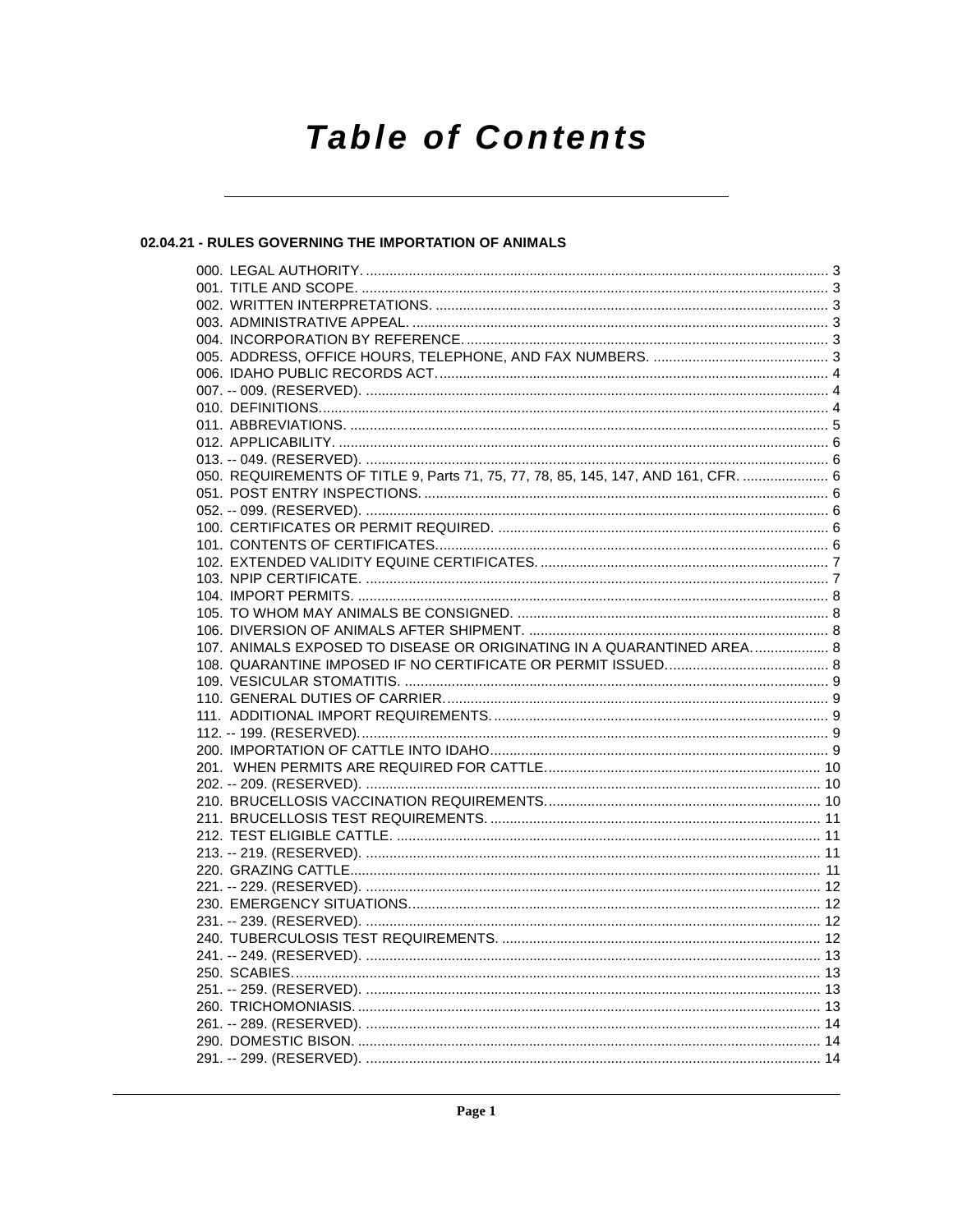# **Table of Contents**

# 02.04.21 - RULES GOVERNING THE IMPORTATION OF ANIMALS

| 050. REQUIREMENTS OF TITLE 9, Parts 71, 75, 77, 78, 85, 145, 147, AND 161, CFR.  6 |  |
|------------------------------------------------------------------------------------|--|
|                                                                                    |  |
|                                                                                    |  |
|                                                                                    |  |
|                                                                                    |  |
|                                                                                    |  |
|                                                                                    |  |
|                                                                                    |  |
|                                                                                    |  |
|                                                                                    |  |
| 107. ANIMALS EXPOSED TO DISEASE OR ORIGINATING IN A QUARANTINED AREA 8             |  |
|                                                                                    |  |
|                                                                                    |  |
|                                                                                    |  |
|                                                                                    |  |
|                                                                                    |  |
|                                                                                    |  |
|                                                                                    |  |
|                                                                                    |  |
|                                                                                    |  |
|                                                                                    |  |
|                                                                                    |  |
|                                                                                    |  |
|                                                                                    |  |
|                                                                                    |  |
|                                                                                    |  |
|                                                                                    |  |
|                                                                                    |  |
|                                                                                    |  |
|                                                                                    |  |
|                                                                                    |  |
|                                                                                    |  |
|                                                                                    |  |
|                                                                                    |  |
|                                                                                    |  |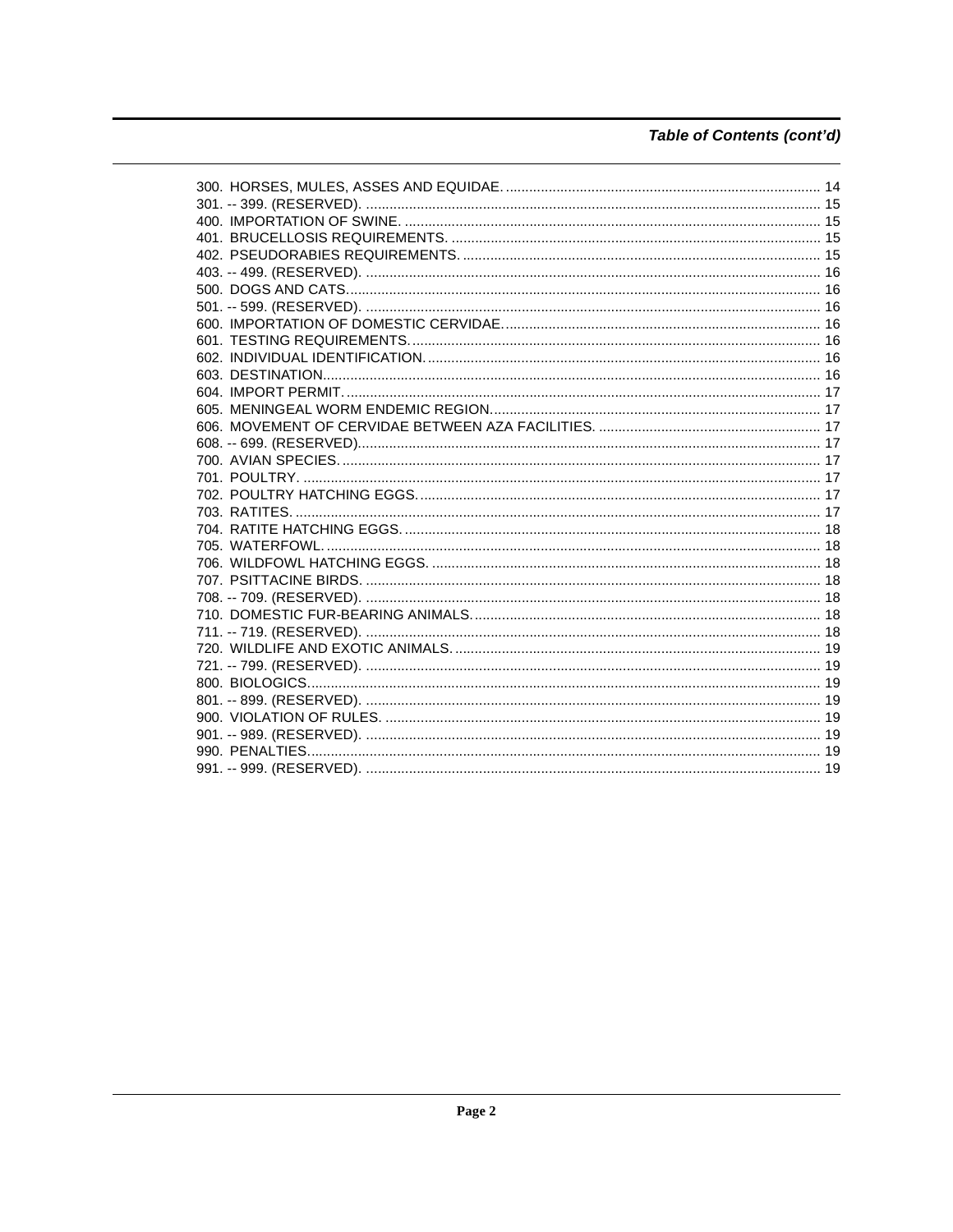# Table of Contents (cont'd)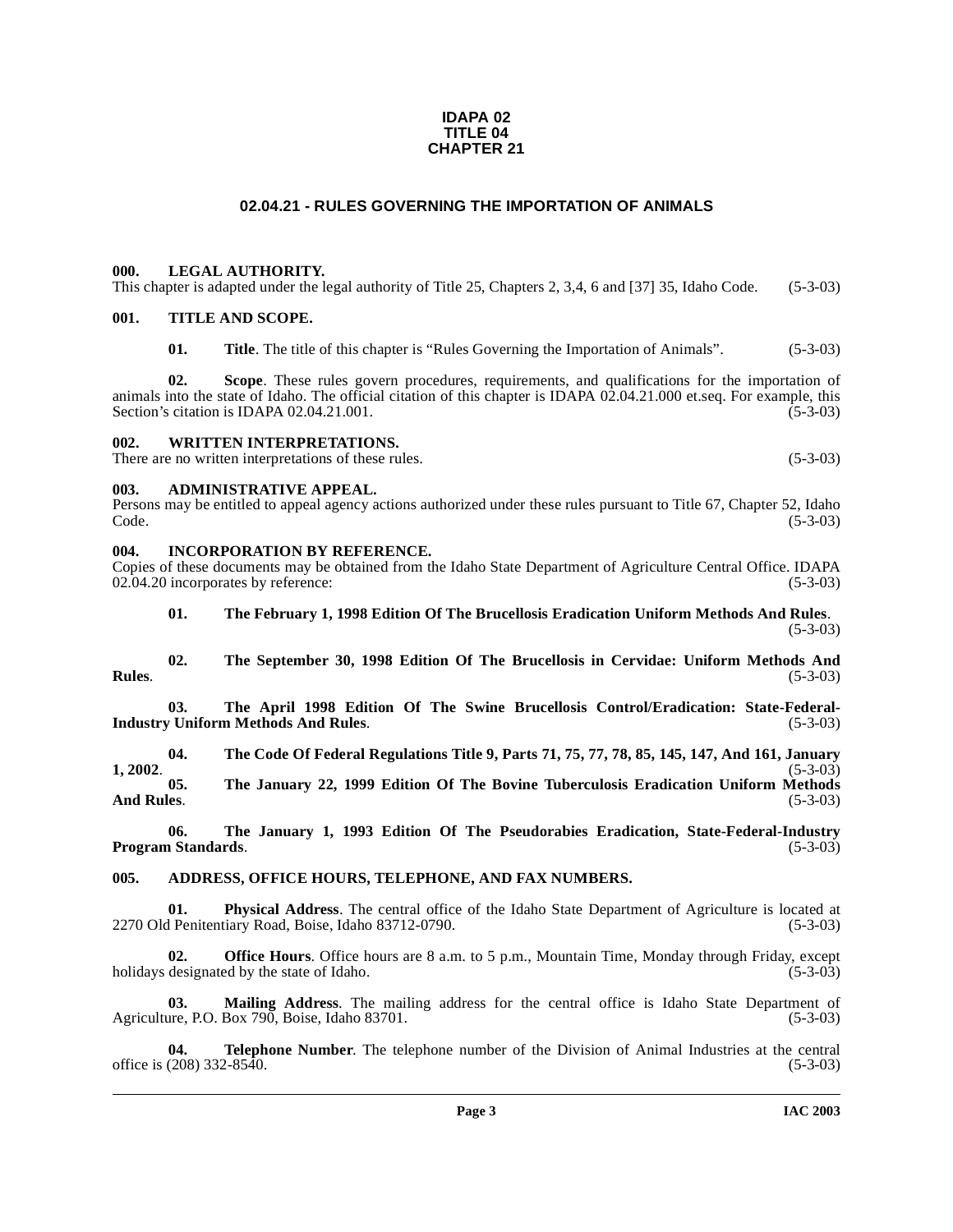#### **IDAPA 02 TITLE 04 CHAPTER 21**

# **02.04.21 - RULES GOVERNING THE IMPORTATION OF ANIMALS**

#### <span id="page-2-1"></span><span id="page-2-0"></span>**000. LEGAL AUTHORITY.**

This chapter is adapted under the legal authority of Title 25, Chapters 2, 3,4, 6 and [37] 35, Idaho Code. (5-3-03)

## <span id="page-2-2"></span>**001. TITLE AND SCOPE.**

**01.** Title. The title of this chapter is "Rules Governing the Importation of Animals". (5-3-03)

**02. Scope**. These rules govern procedures, requirements, and qualifications for the importation of animals into the state of Idaho. The official citation of this chapter is IDAPA 02.04.21.000 et.seq. For example, this Section's citation is IDAPA 02.04.21.001. (5-3-03) Section's citation is IDAPA 02.04.21.001.

<span id="page-2-3"></span>**002. WRITTEN INTERPRETATIONS.**

There are no written interpretations of these rules. (5-3-03)

#### <span id="page-2-4"></span>**003. ADMINISTRATIVE APPEAL.**

Persons may be entitled to appeal agency actions authorized under these rules pursuant to Title 67, Chapter 52, Idaho  $\text{Code.}$  (5-3-03)

#### <span id="page-2-5"></span>**004. INCORPORATION BY REFERENCE.**

Copies of these documents may be obtained from the Idaho State Department of Agriculture Central Office. IDAPA<br>02.04.20 incorporates by reference: (5-3-03) 02.04.20 incorporates by reference:

# **01. The February 1, 1998 Edition Of The Brucellosis Eradication Uniform Methods And Rules**. (5-3-03)

**02. The September 30, 1998 Edition Of The Brucellosis in Cervidae: Uniform Methods And Rules**. (5-3-03)

03. The April 1998 Edition Of The Swine Brucellosis Control/Eradication: State-Federal-<br>
v Uniform Methods And Rules. (5-3-03) **Industry Uniform Methods And Rules.** 

**04. The Code Of Federal Regulations Title 9, Parts 71, 75, 77, 78, 85, 145, 147, And 161, January 1, 2002**. (5-3-03)

**05. The January 22, 1999 Edition Of The Bovine Tuberculosis Eradication Uniform Methods And Rules**. (5-3-03)

**06. The January 1, 1993 Edition Of The Pseudorabies Eradication, State-Federal-Industry Program Standards.** 

#### <span id="page-2-6"></span>**005. ADDRESS, OFFICE HOURS, TELEPHONE, AND FAX NUMBERS.**

**01.** Physical Address. The central office of the Idaho State Department of Agriculture is located at Penitentiary Road, Boise, Idaho 83712-0790. (5-3-03) 2270 Old Penitentiary Road, Boise, Idaho 83712-0790.

**02. Office Hours**. Office hours are 8 a.m. to 5 p.m., Mountain Time, Monday through Friday, except holidays designated by the state of Idaho. (5-3-03)

**03.** Mailing Address. The mailing address for the central office is Idaho State Department of are, P.O. Box 790, Boise, Idaho 83701. (5-3-03) Agriculture, P.O. Box  $790$ , Boise, Idaho 83701.

**04. Telephone Number**. The telephone number of the Division of Animal Industries at the central office is  $(208)$  332-8540. (5-3-03)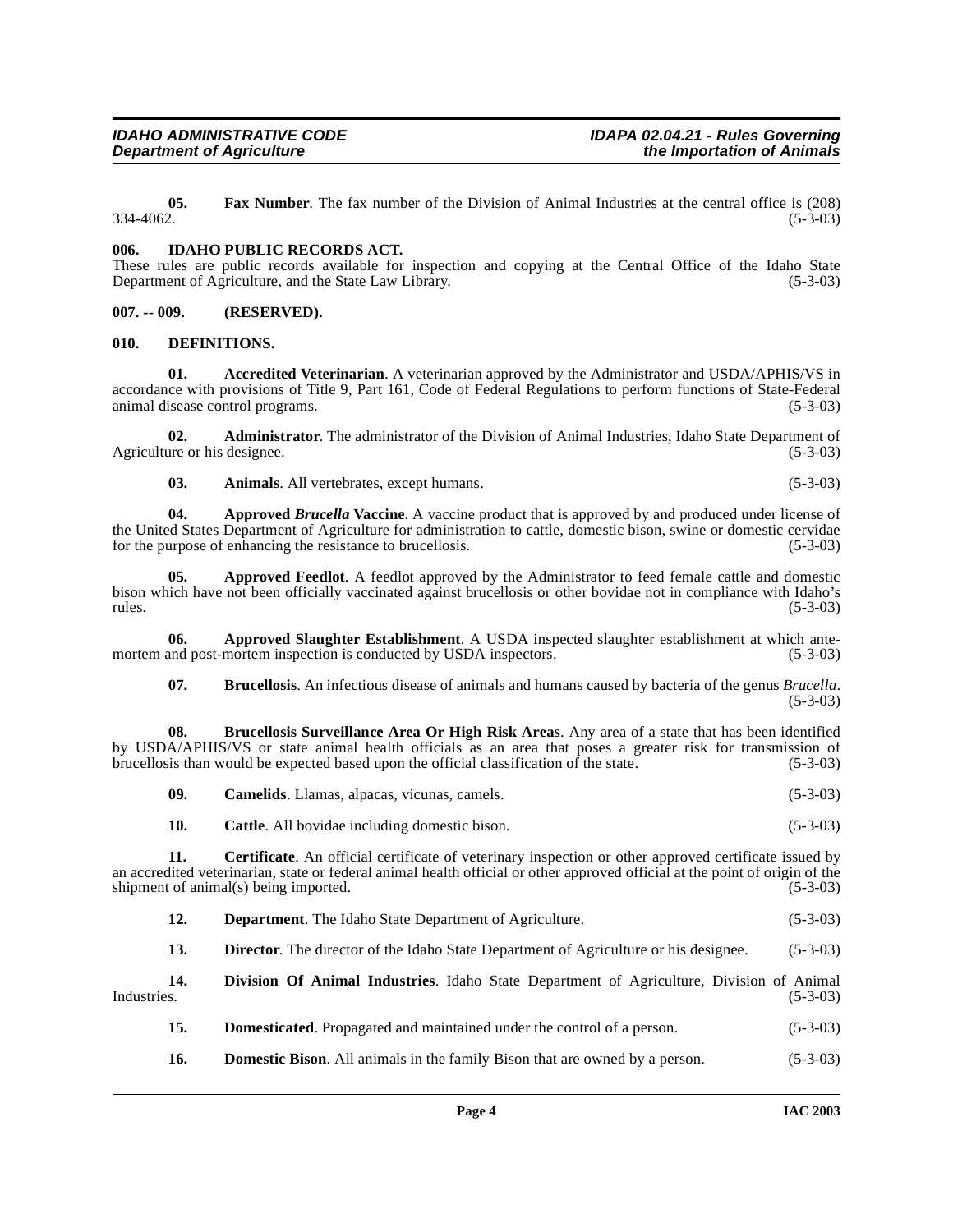**05.** Fax Number. The fax number of the Division of Animal Industries at the central office is (208) 334-4062.  $334-4062.$  (5-3-03)

#### <span id="page-3-0"></span>**006. IDAHO PUBLIC RECORDS ACT.**

These rules are public records available for inspection and copying at the Central Office of the Idaho State Department of Agriculture, and the State Law Library. (5-3-03) Department of Agriculture, and the State Law Library.

#### <span id="page-3-1"></span>**007. -- 009. (RESERVED).**

#### <span id="page-3-8"></span><span id="page-3-2"></span>**010. DEFINITIONS.**

<span id="page-3-3"></span>**01. Accredited Veterinarian**. A veterinarian approved by the Administrator and USDA/APHIS/VS in accordance with provisions of Title 9, Part 161, Code of Federal Regulations to perform functions of State-Federal animal disease control programs. (5-3-03)

**02. Administrator**. The administrator of the Division of Animal Industries, Idaho State Department of are or his designee. (5-3-03) Agriculture or his designee.

<span id="page-3-4"></span>**03.** Animals. All vertebrates, except humans. (5-3-03)

**04.** Approved *Brucella* Vaccine. A vaccine product that is approved by and produced under license of the United States Department of Agriculture for administration to cattle, domestic bison, swine or domestic cervidae<br>for the purpose of enhancing the resistance to brucellosis. (5-3-03) for the purpose of enhancing the resistance to brucellosis.

**05.** Approved Feedlot. A feedlot approved by the Administrator to feed female cattle and domestic bison which have not been officially vaccinated against brucellosis or other bovidae not in compliance with Idaho's rules. (5-3-03)  $r = (5-3-03)$ 

**06.** Approved Slaughter Establishment. A USDA inspected slaughter establishment at which ante-<br>and post-mortem inspection is conducted by USDA inspectors. (5-3-03) mortem and post-mortem inspection is conducted by USDA inspectors.

<span id="page-3-6"></span><span id="page-3-5"></span>**07. Brucellosis**. An infectious disease of animals and humans caused by bacteria of the genus *Brucella*.  $(5-3-03)$ 

**08. Brucellosis Surveillance Area Or High Risk Areas**. Any area of a state that has been identified by USDA/APHIS/VS or state animal health officials as an area that poses a greater risk for transmission of brucellosis than would be expected based upon the official classification of the state. (5-3-03) brucellosis than would be expected based upon the official classification of the state.

<span id="page-3-7"></span>

| 09. | <b>Camelids.</b> Llamas, alpacas, vicunas, camels. |  | $(5-3-03)$ |
|-----|----------------------------------------------------|--|------------|
|-----|----------------------------------------------------|--|------------|

**10. Cattle**. All bovidae including domestic bison. (5-3-03)

**11.** Certificate. An official certificate of veterinary inspection or other approved certificate issued by an accredited veterinarian, state or federal animal health official or other approved official at the point of origin of the shipment of animal(s) being imported. (5-3-03) shipment of animal(s) being imported.

**12. Department**. The Idaho State Department of Agriculture. (5-3-03)

<span id="page-3-9"></span>**13. Director**. The director of the Idaho State Department of Agriculture or his designee. (5-3-03)

**14. Division Of Animal Industries**. Idaho State Department of Agriculture, Division of Animal Industries. (5-3-03)

- <span id="page-3-10"></span>**15. Domesticated**. Propagated and maintained under the control of a person.  $(5-3-03)$
- **16. Domestic Bison**. All animals in the family Bison that are owned by a person. (5-3-03)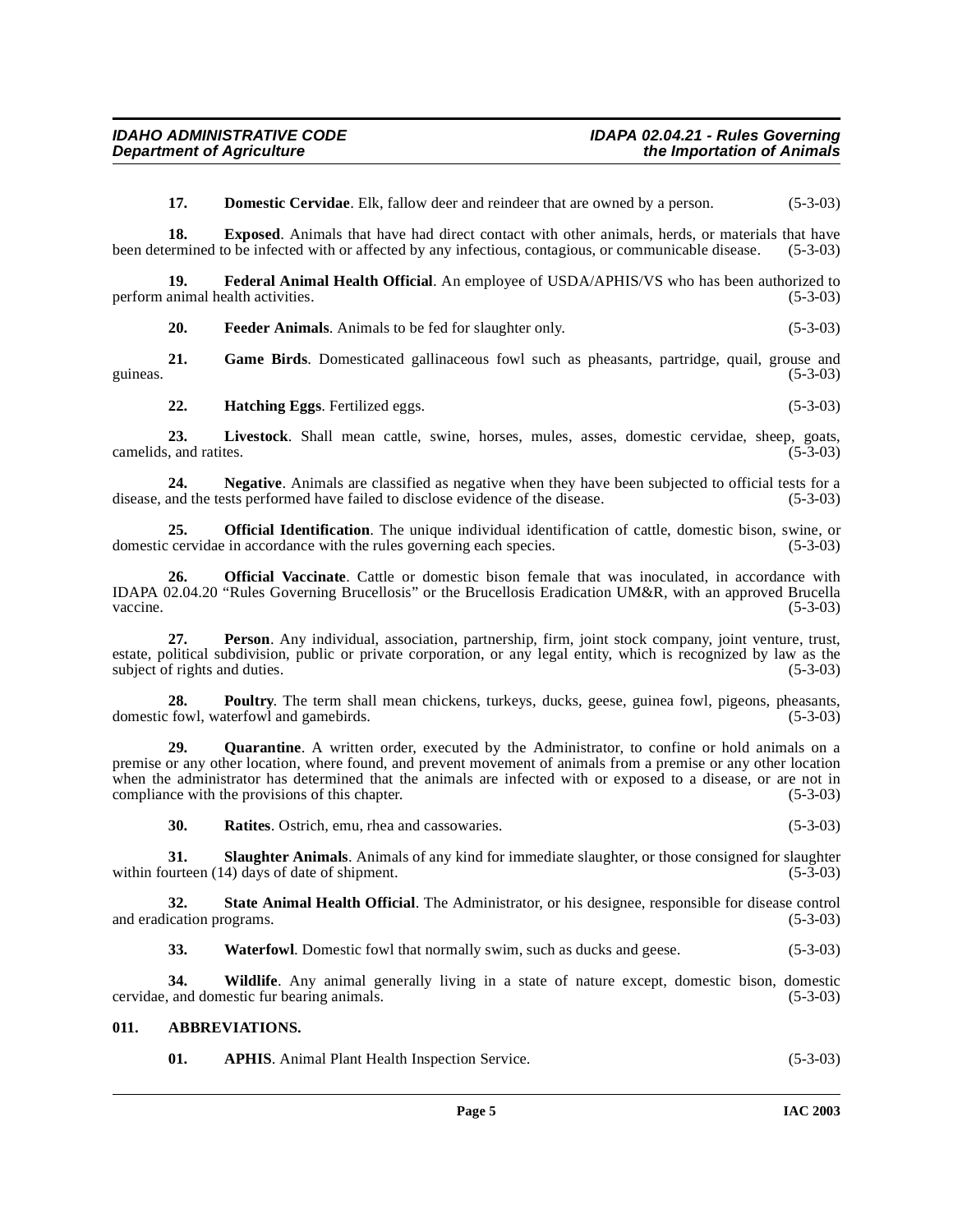<span id="page-4-3"></span><span id="page-4-2"></span>**17. Domestic Cervidae**. Elk, fallow deer and reindeer that are owned by a person. (5-3-03)

**18. Exposed**. Animals that have had direct contact with other animals, herds, or materials that have been determined to be infected with or affected by any infectious, contagious, or communicable disease. (5-3-03)

**19. Federal Animal Health Official**. An employee of USDA/APHIS/VS who has been authorized to animal health activities. (5-3-03) perform animal health activities.

**20. Feeder Animals**. Animals to be fed for slaughter only. (5-3-03)

**21. Game Birds**. Domesticated gallinaceous fowl such as pheasants, partridge, quail, grouse and guineas.  $(5-3-03)$ 

<span id="page-4-4"></span>**22. Hatching Eggs**. Fertilized eggs. (5-3-03)

23. Livestock. Shall mean cattle, swine, horses, mules, asses, domestic cervidae, sheep, goats, and ratites. (5-3-03) camelids, and ratites.

**24. Negative**. Animals are classified as negative when they have been subjected to official tests for a disease, and the tests performed have failed to disclose evidence of the disease. (5-3-03)

<span id="page-4-5"></span>**25. Official Identification**. The unique individual identification of cattle, domestic bison, swine, or cervidae in accordance with the rules governing each species. (5-3-03) domestic cervidae in accordance with the rules governing each species.

<span id="page-4-6"></span>**26. Official Vaccinate**. Cattle or domestic bison female that was inoculated, in accordance with IDAPA 02.04.20 "Rules Governing Brucellosis" or the Brucellosis Eradication UM&R, with an approved Brucella  $\sqrt{5-3-03}$  (5-3-03)

**27. Person**. Any individual, association, partnership, firm, joint stock company, joint venture, trust, estate, political subdivision, public or private corporation, or any legal entity, which is recognized by law as the subject of rights and duties. (5-3-03)

<span id="page-4-7"></span>**28. Poultry**. The term shall mean chickens, turkeys, ducks, geese, guinea fowl, pigeons, pheasants, fowl, waterfowl and gamebirds. (5-3-03) domestic fowl, waterfowl and gamebirds.

**29. Quarantine**. A written order, executed by the Administrator, to confine or hold animals on a premise or any other location, where found, and prevent movement of animals from a premise or any other location when the administrator has determined that the animals are infected with or exposed to a disease, or are not in compliance with the provisions of this chapter. (5-3-03) compliance with the provisions of this chapter.

<span id="page-4-11"></span><span id="page-4-10"></span><span id="page-4-9"></span><span id="page-4-8"></span>**30. Ratites**. Ostrich, emu, rhea and cassowaries. (5-3-03)

**31. Slaughter Animals**. Animals of any kind for immediate slaughter, or those consigned for slaughter within fourteen  $(14)$  days of date of shipment.

**32. State Animal Health Official**. The Administrator, or his designee, responsible for disease control and eradication programs. (5-3-03)

**33.** Waterfowl. Domestic fowl that normally swim, such as ducks and geese. (5-3-03)

**34. Wildlife**. Any animal generally living in a state of nature except, domestic bison, domestic cervidae, and domestic fur bearing animals. (5-3-03)

# <span id="page-4-0"></span>**011. ABBREVIATIONS.**

<span id="page-4-1"></span>**01. APHIS**. Animal Plant Health Inspection Service. (5-3-03)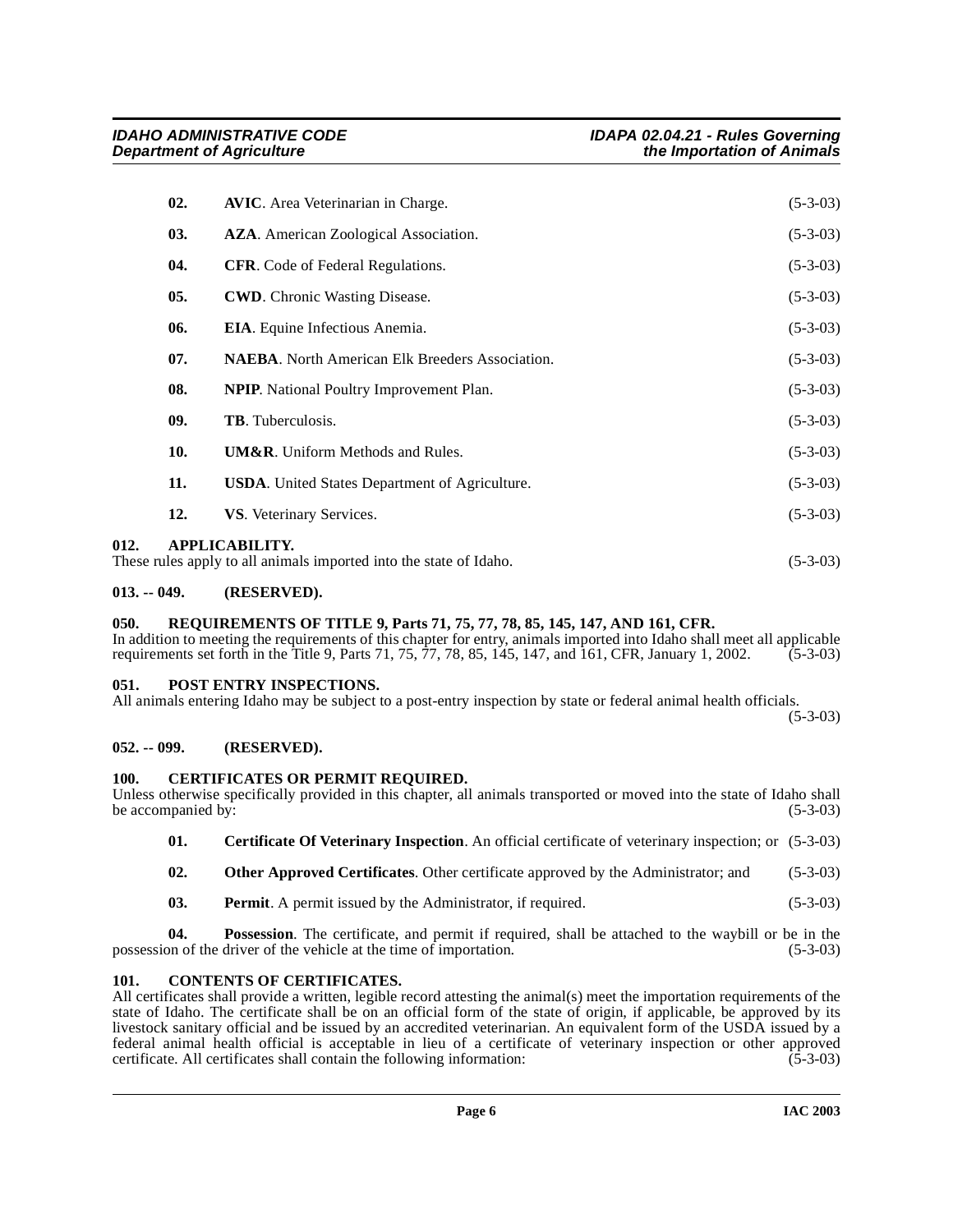|      | 02. | <b>AVIC.</b> Area Veterinarian in Charge.                                                   | $(5-3-03)$ |
|------|-----|---------------------------------------------------------------------------------------------|------------|
|      | 03. | <b>AZA</b> . American Zoological Association.                                               | $(5-3-03)$ |
|      | 04. | <b>CFR.</b> Code of Federal Regulations.                                                    | $(5-3-03)$ |
|      | 05. | <b>CWD.</b> Chronic Wasting Disease.                                                        | $(5-3-03)$ |
|      | 06. | <b>EIA.</b> Equine Infectious Anemia.                                                       | $(5-3-03)$ |
|      | 07. | <b>NAEBA.</b> North American Elk Breeders Association.                                      | $(5-3-03)$ |
|      | 08. | <b>NPIP.</b> National Poultry Improvement Plan.                                             | $(5-3-03)$ |
|      | 09. | <b>TB.</b> Tuberculosis.                                                                    | $(5-3-03)$ |
|      | 10. | <b>UM&amp;R.</b> Uniform Methods and Rules.                                                 | $(5-3-03)$ |
|      | 11. | <b>USDA.</b> United States Department of Agriculture.                                       | $(5-3-03)$ |
|      | 12. | VS. Veterinary Services.                                                                    | $(5-3-03)$ |
| 012. |     | <b>APPLICABILITY.</b><br>These rules apply to all animals imported into the state of Idaho. | $(5-3-03)$ |

## <span id="page-5-1"></span><span id="page-5-0"></span>**013. -- 049. (RESERVED).**

# <span id="page-5-12"></span><span id="page-5-2"></span>**050. REQUIREMENTS OF TITLE 9, Parts 71, 75, 77, 78, 85, 145, 147, AND 161, CFR.**

In addition to meeting the requirements of this chapter for entry, animals imported into Idaho shall meet all applicable requirements set forth in the Title 9, Parts 71, 75, 77, 78, 85, 145, 147, and 161, CFR, January 1, 2 requirements set forth in the Title 9, Parts 71, 75,  $77$ , 78, 85, 145, 147, and 161, CFR, January 1, 2002.

#### <span id="page-5-3"></span>**051. POST ENTRY INSPECTIONS.**

All animals entering Idaho may be subject to a post-entry inspection by state or federal animal health officials.

<span id="page-5-11"></span><span id="page-5-8"></span>(5-3-03)

# <span id="page-5-4"></span>**052. -- 099. (RESERVED).**

# <span id="page-5-5"></span>**100. CERTIFICATES OR PERMIT REQUIRED.**

| Unless otherwise specifically provided in this chapter, all animals transported or moved into the state of Idaho shall |  |  |            |
|------------------------------------------------------------------------------------------------------------------------|--|--|------------|
| be accompanied by:                                                                                                     |  |  | $(5-3-03)$ |

<span id="page-5-7"></span>**01. Certificate Of Veterinary Inspection**. An official certificate of veterinary inspection; or (5-3-03)

- <span id="page-5-10"></span>**02.** Other Approved Certificates. Other certificate approved by the Administrator; and (5-3-03)
- **03. Permit**. A permit issued by the Administrator, if required. (5-3-03)

**04. Possession**. The certificate, and permit if required, shall be attached to the waybill or be in the on of the driver of the vehicle at the time of importation. (5-3-03) possession of the driver of the vehicle at the time of importation.

# <span id="page-5-9"></span><span id="page-5-6"></span>**101. CONTENTS OF CERTIFICATES.**

All certificates shall provide a written, legible record attesting the animal(s) meet the importation requirements of the state of Idaho. The certificate shall be on an official form of the state of origin, if applicable, be approved by its livestock sanitary official and be issued by an accredited veterinarian. An equivalent form of the USDA issued by a federal animal health official is acceptable in lieu of a certificate of veterinary inspection or other approved certificate. All certificates shall contain the following information: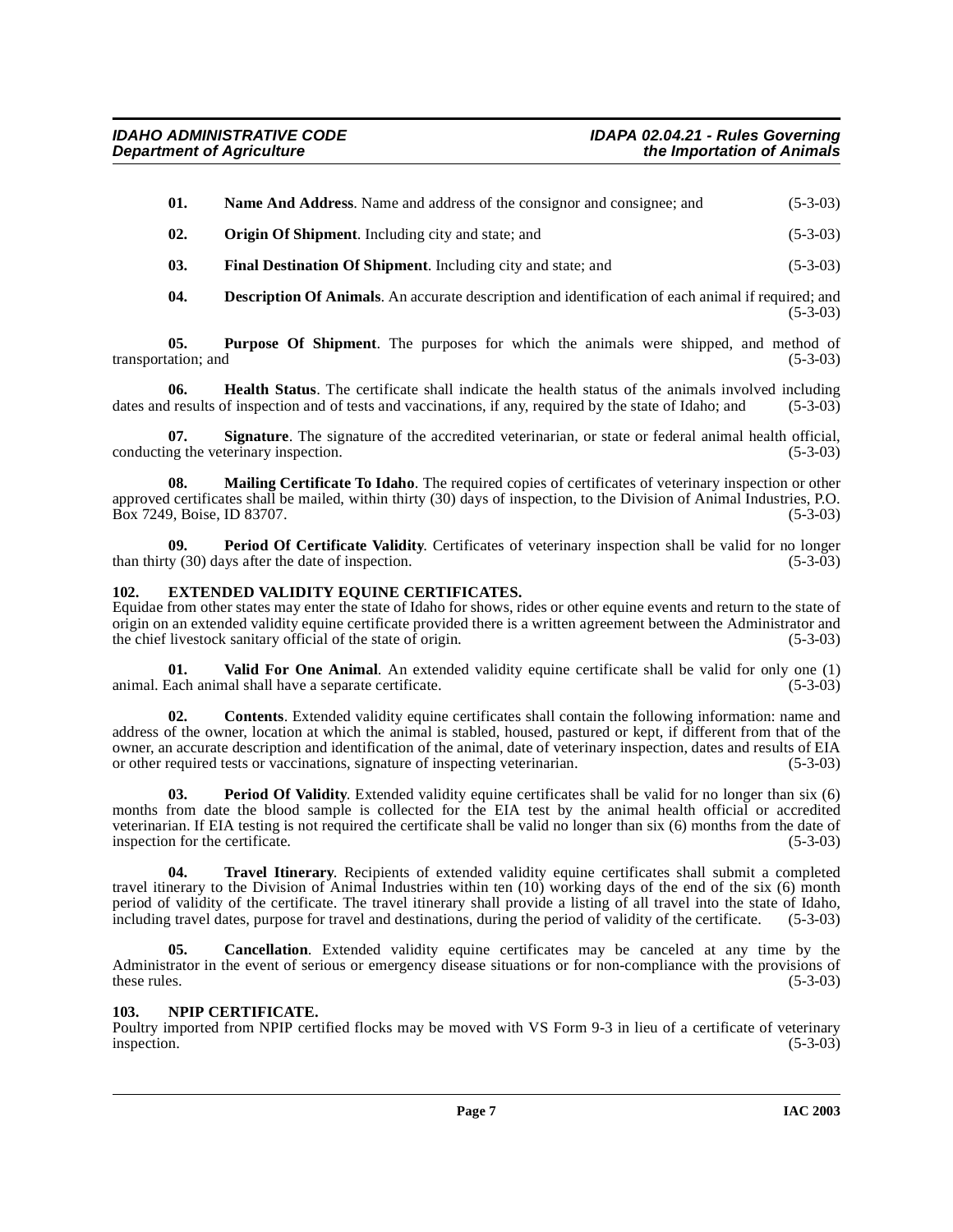| 01.  | <b>Name And Address.</b> Name and address of the consignor and consignee; and | $(5-3-03)$ |
|------|-------------------------------------------------------------------------------|------------|
| -02. | <b>Origin Of Shipment.</b> Including city and state; and                      | $(5-3-03)$ |

**03.** Final Destination Of Shipment. Including city and state; and (5-3-03)

**04. Description Of Animals**. An accurate description and identification of each animal if required; and (5-3-03)

**05. Purpose Of Shipment**. The purposes for which the animals were shipped, and method of ation; and (5-3-03) transportation; and

**06. Health Status**. The certificate shall indicate the health status of the animals involved including dates and results of inspection and of tests and vaccinations, if any, required by the state of Idaho; and (5-3-03)

**07.** Signature. The signature of the accredited veterinarian, or state or federal animal health official, <br>ng the veterinary inspection. (5-3-03) conducting the veterinary inspection.

**Mailing Certificate To Idaho**. The required copies of certificates of veterinary inspection or other approved certificates shall be mailed, within thirty (30) days of inspection, to the Division of Animal Industries, P.O.<br>Box 7249, Boise, ID 83707. (5-3-03) Box 7249, Boise, ID 83707.

**09. Period Of Certificate Validity**. Certificates of veterinary inspection shall be valid for no longer iv (30) days after the date of inspection. (5-3-03) than thirty  $(30)$  days after the date of inspection.

## <span id="page-6-2"></span><span id="page-6-0"></span>**102. EXTENDED VALIDITY EQUINE CERTIFICATES.**

Equidae from other states may enter the state of Idaho for shows, rides or other equine events and return to the state of origin on an extended validity equine certificate provided there is a written agreement between the Administrator and the chief livestock sanitary official of the state of origin. (5-3-03) the chief livestock sanitary official of the state of origin.

<span id="page-6-6"></span>**01. Valid For One Animal**. An extended validity equine certificate shall be valid for only one (1) animal. Each animal shall have a separate certificate.

**02. Contents**. Extended validity equine certificates shall contain the following information: name and address of the owner, location at which the animal is stabled, housed, pastured or kept, if different from that of the owner, an accurate description and identification of the animal, date of veterinary inspection, dates and results of EIA or other required tests or vaccinations, signature of inspecting veterinarian. (5-3-03)

<span id="page-6-4"></span>**03. Period Of Validity**. Extended validity equine certificates shall be valid for no longer than six (6) months from date the blood sample is collected for the EIA test by the animal health official or accredited veterinarian. If EIA testing is not required the certificate shall be valid no longer than six (6) months from the date of inspection for the certificate. (5-3-03)

<span id="page-6-5"></span>**04. Travel Itinerary**. Recipients of extended validity equine certificates shall submit a completed travel itinerary to the Division of Animal Industries within ten (10) working days of the end of the six (6) month period of validity of the certificate. The travel itinerary shall provide a listing of all travel into the state of Idaho, including travel dates, purpose for travel and destinations, during the period of validity of the certificate. (5-3-03)

**05. Cancellation**. Extended validity equine certificates may be canceled at any time by the Administrator in the event of serious or emergency disease situations or for non-compliance with the provisions of these rules.  $(5-3-03)$ 

# <span id="page-6-3"></span><span id="page-6-1"></span>**103. NPIP CERTIFICATE.**

Poultry imported from NPIP certified flocks may be moved with VS Form 9-3 in lieu of a certificate of veterinary inspection. (5-3-03) inspection. (5-3-03)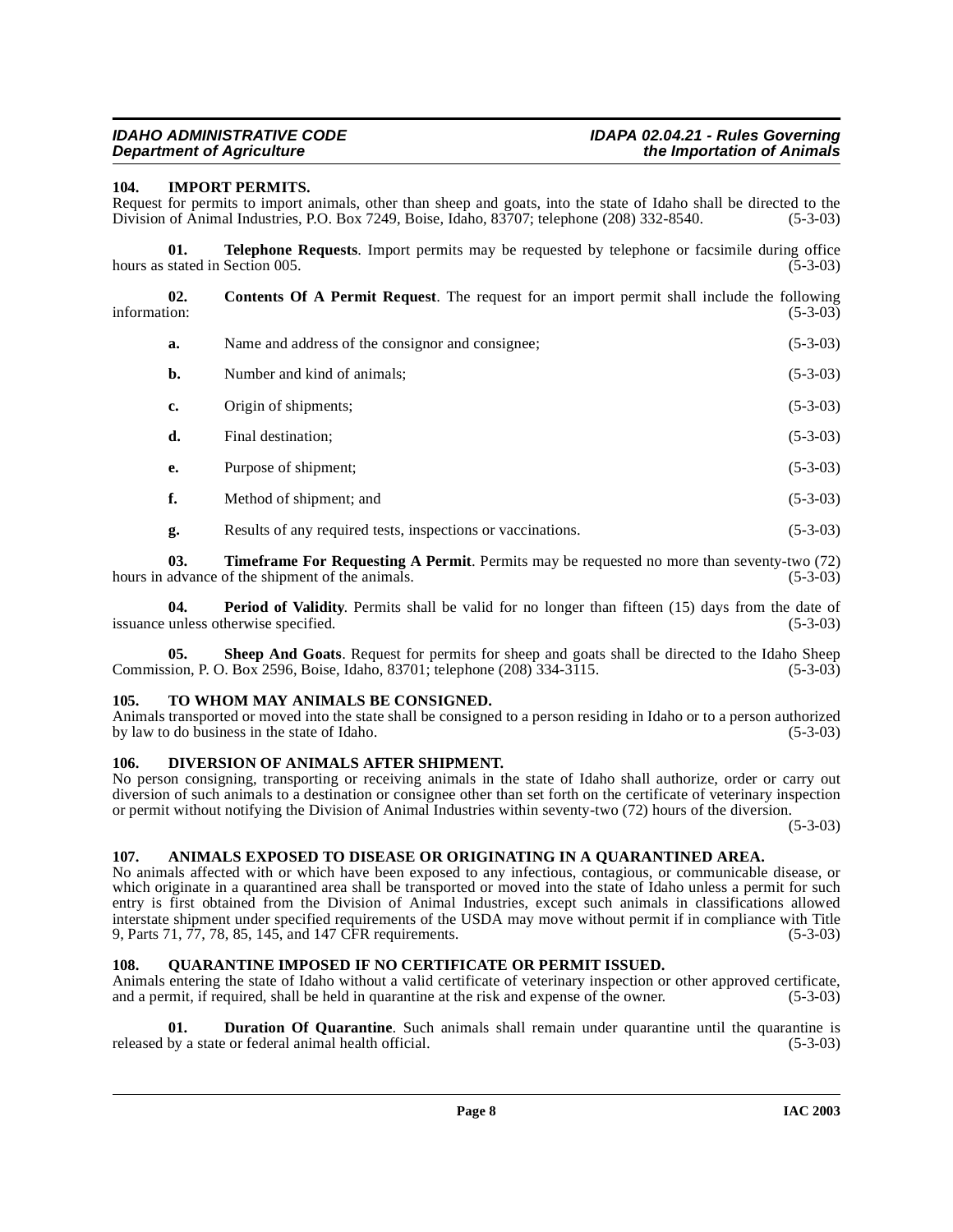# <span id="page-7-8"></span><span id="page-7-0"></span>**104. IMPORT PERMITS.**

Request for permits to import animals, other than sheep and goats, into the state of Idaho shall be directed to the Division of Animal Industries, P.O. Box 7249, Boise, Idaho, 83707; telephone (208) 332-8540. (5-3-03) Division of Animal Industries, P.O. Box 7249, Boise, Idaho, 83707; telephone (208) 332-8540.

**01. Telephone Requests**. Import permits may be requested by telephone or facsimile during office hours as stated in Section 005. (5-3-03)

**02.** Contents Of A Permit Request. The request for an import permit shall include the following information: (5-3-03) information: (5-3-03)

<span id="page-7-6"></span>

| а. | Name and address of the consignor and consignee; | $(5-3-03)$ |
|----|--------------------------------------------------|------------|
| b. | Number and kind of animals;                      | $(5-3-03)$ |
| c. | Origin of shipments;                             | $(5-3-03)$ |
| d. | Final destination;                               | $(5-3-03)$ |
| e. | Purpose of shipment;                             | $(5-3-03)$ |
|    |                                                  |            |

- **f.** Method of shipment; and (5-3-03)
- <span id="page-7-10"></span>**g.** Results of any required tests, inspections or vaccinations. (5-3-03)

**03. Timeframe For Requesting A Permit**. Permits may be requested no more than seventy-two (72) hours in advance of the shipment of the animals. (5-3-03) (5-3-03)

**04. Period of Validity**. Permits shall be valid for no longer than fifteen (15) days from the date of unless otherwise specified. (5-3-03) issuance unless otherwise specified.

**05. Sheep And Goats**. Request for permits for sheep and goats shall be directed to the Idaho Sheep Commission, P. O. Box 2596, Boise, Idaho, 83701; telephone (208) 334-3115. (5-3-03)

# <span id="page-7-11"></span><span id="page-7-1"></span>**105. TO WHOM MAY ANIMALS BE CONSIGNED.**

Animals transported or moved into the state shall be consigned to a person residing in Idaho or to a person authorized<br>by law to do business in the state of Idaho. by law to do business in the state of Idaho.

# <span id="page-7-7"></span><span id="page-7-2"></span>**106. DIVERSION OF ANIMALS AFTER SHIPMENT.**

No person consigning, transporting or receiving animals in the state of Idaho shall authorize, order or carry out diversion of such animals to a destination or consignee other than set forth on the certificate of veterinary inspection or permit without notifying the Division of Animal Industries within seventy-two (72) hours of the diversion.

(5-3-03)

# <span id="page-7-5"></span><span id="page-7-3"></span>**107. ANIMALS EXPOSED TO DISEASE OR ORIGINATING IN A QUARANTINED AREA.**

No animals affected with or which have been exposed to any infectious, contagious, or communicable disease, or which originate in a quarantined area shall be transported or moved into the state of Idaho unless a permit for such entry is first obtained from the Division of Animal Industries, except such animals in classifications allowed interstate shipment under specified requirements of the USDA may move without permit if in compliance with Title 9, Parts 71, 77, 78, 85, 145, and 147 CFR requirements. (5-3-03)

# <span id="page-7-9"></span><span id="page-7-4"></span>**108. QUARANTINE IMPOSED IF NO CERTIFICATE OR PERMIT ISSUED.**

Animals entering the state of Idaho without a valid certificate of veterinary inspection or other approved certificate, and a permit, if required, shall be held in quarantine at the risk and expense of the owner. (5-3-03)

**01. Duration Of Quarantine**. Such animals shall remain under quarantine until the quarantine is by a state or federal animal health official. (5-3-03) released by a state or federal animal health official.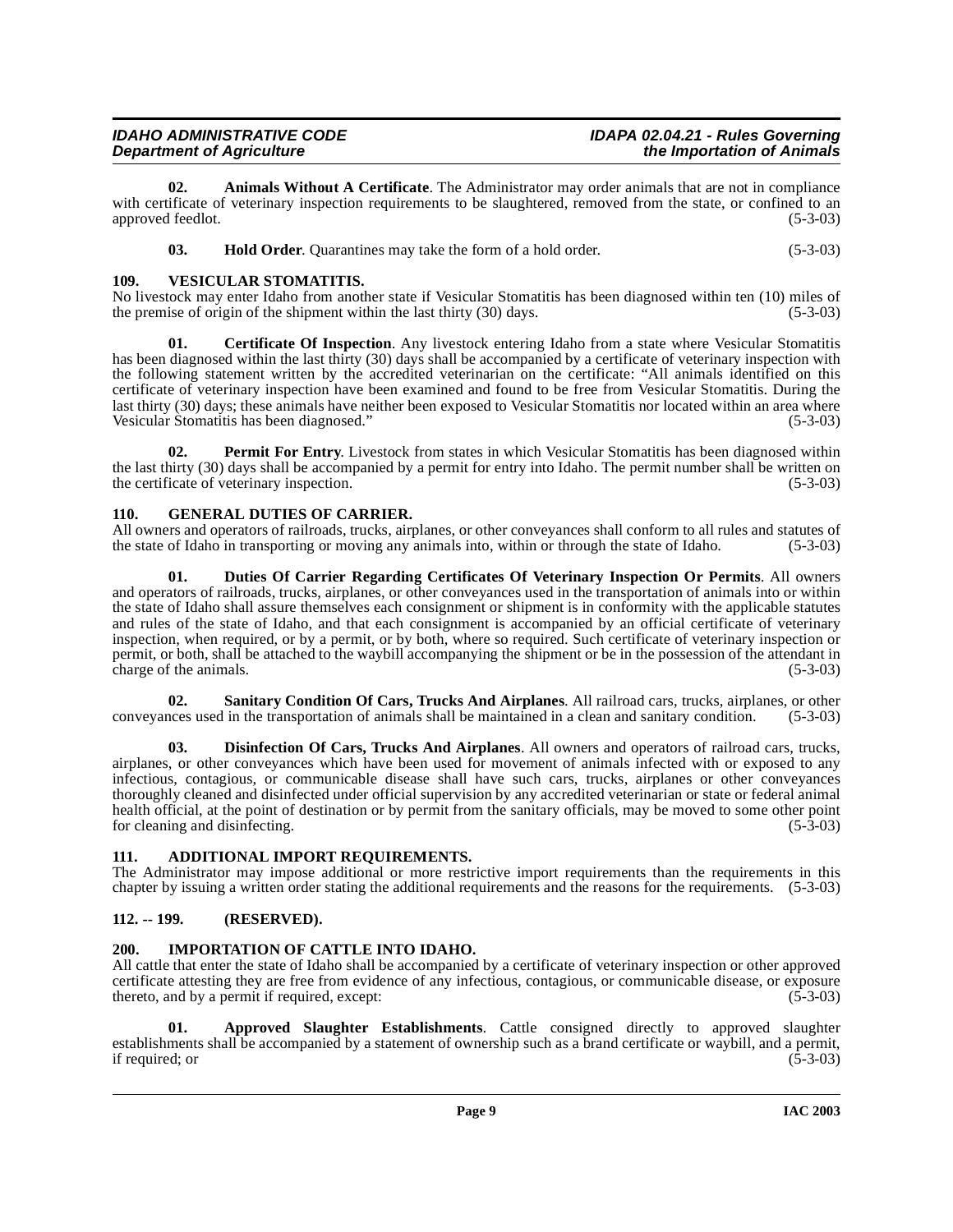| <b>IDAHO ADMINISTRATIVE CODE</b> | IDAPA 02.04.21 - Rules Governing |
|----------------------------------|----------------------------------|
| <b>Department of Agriculture</b> | the Importation of Animals       |

**02. Animals Without A Certificate**. The Administrator may order animals that are not in compliance with certificate of veterinary inspection requirements to be slaughtered, removed from the state, or confined to an approved feedlot. (5-3-03) approved feedlot.

<span id="page-8-14"></span><span id="page-8-7"></span>

| 03. | <b>Hold Order.</b> Quarantines may take the form of a hold order. | $(5-3-03)$ |
|-----|-------------------------------------------------------------------|------------|
|-----|-------------------------------------------------------------------|------------|

# <span id="page-8-0"></span>**109. VESICULAR STOMATITIS.**

No livestock may enter Idaho from another state if Vesicular Stomatitis has been diagnosed within ten (10) miles of the premise of origin of the shipment within the last thirty (30) days. (5-3-03) the premise of origin of the shipment within the last thirty  $(30)$  days.

**01. Certificate Of Inspection**. Any livestock entering Idaho from a state where Vesicular Stomatitis has been diagnosed within the last thirty (30) days shall be accompanied by a certificate of veterinary inspection with the following statement written by the accredited veterinarian on the certificate: "All animals identified on this certificate of veterinary inspection have been examined and found to be free from Vesicular Stomatitis. During the last thirty (30) days; these animals have neither been exposed to Vesicular Stomatitis nor located within an area where Vesicular Stomatitis has been diagnosed." (5-3-03)

<span id="page-8-12"></span>**02. Permit For Entry.** Livestock from states in which Vesicular Stomatitis has been diagnosed within the last thirty (30) days shall be accompanied by a permit for entry into Idaho. The permit number shall be written on the certificate of veterinary inspection. (5-3-03) (5-3-03)

# <span id="page-8-10"></span><span id="page-8-1"></span>**110. GENERAL DUTIES OF CARRIER.**

All owners and operators of railroads, trucks, airplanes, or other conveyances shall conform to all rules and statutes of the state of Idaho in transporting or moving any animals into, within or through the state of Idaho. (5-3-03)

<span id="page-8-9"></span>**01. Duties Of Carrier Regarding Certificates Of Veterinary Inspection Or Permits**. All owners and operators of railroads, trucks, airplanes, or other conveyances used in the transportation of animals into or within the state of Idaho shall assure themselves each consignment or shipment is in conformity with the applicable statutes and rules of the state of Idaho, and that each consignment is accompanied by an official certificate of veterinary inspection, when required, or by a permit, or by both, where so required. Such certificate of veterinary inspection or permit, or both, shall be attached to the waybill accompanying the shipment or be in the possession of the attendant in charge of the animals.

<span id="page-8-13"></span>**02.** Sanitary Condition Of Cars, Trucks And Airplanes. All railroad cars, trucks, airplanes, or other nees used in the transportation of animals shall be maintained in a clean and sanitary condition. (5-3-03) conveyances used in the transportation of animals shall be maintained in a clean and sanitary condition.

<span id="page-8-8"></span>**03. Disinfection Of Cars, Trucks And Airplanes**. All owners and operators of railroad cars, trucks, airplanes, or other conveyances which have been used for movement of animals infected with or exposed to any infectious, contagious, or communicable disease shall have such cars, trucks, airplanes or other conveyances thoroughly cleaned and disinfected under official supervision by any accredited veterinarian or state or federal animal health official, at the point of destination or by permit from the sanitary officials, may be moved to some other point for cleaning and disinfecting. (5-3-03)

# <span id="page-8-5"></span><span id="page-8-2"></span>**111. ADDITIONAL IMPORT REQUIREMENTS.**

The Administrator may impose additional or more restrictive import requirements than the requirements in this chapter by issuing a written order stating the additional requirements and the reasons for the requirements. (5-3-03)

# <span id="page-8-3"></span>**112. -- 199. (RESERVED).**

# <span id="page-8-11"></span><span id="page-8-4"></span>**200. IMPORTATION OF CATTLE INTO IDAHO.**

All cattle that enter the state of Idaho shall be accompanied by a certificate of veterinary inspection or other approved certificate attesting they are free from evidence of any infectious, contagious, or communicable disease, or exposure thereto, and by a permit if required, except: (5-3-03)

<span id="page-8-6"></span>**01. Approved Slaughter Establishments**. Cattle consigned directly to approved slaughter establishments shall be accompanied by a statement of ownership such as a brand certificate or waybill, and a permit, if required; or (5-3-03) if required; or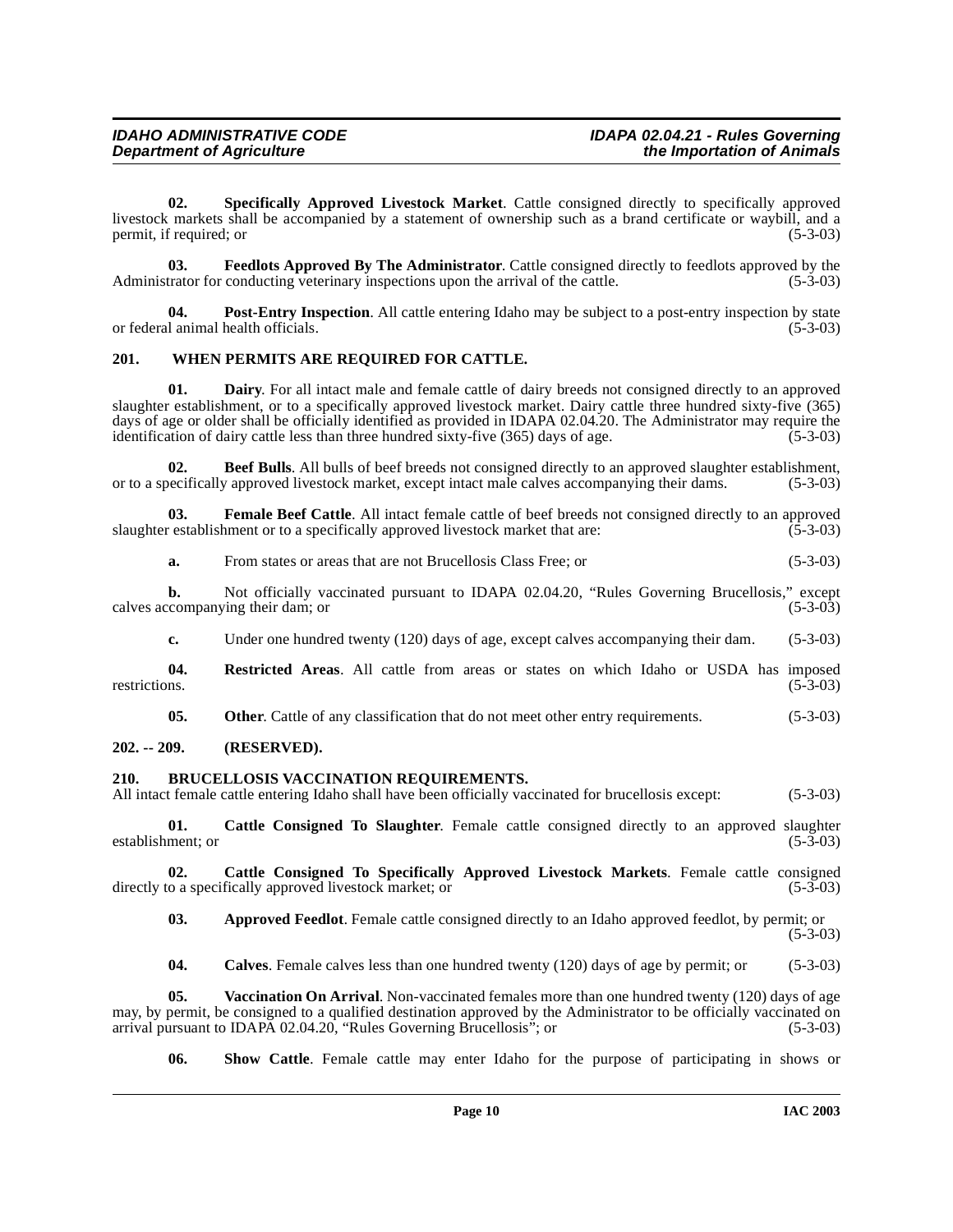<span id="page-9-13"></span>**02. Specifically Approved Livestock Market**. Cattle consigned directly to specifically approved livestock markets shall be accompanied by a statement of ownership such as a brand certificate or waybill, and a permit, if required; or

<span id="page-9-9"></span>**03. Feedlots Approved By The Administrator**. Cattle consigned directly to feedlots approved by the trator for conducting veterinary inspections upon the arrival of the cattle. (5-3-03) Administrator for conducting veterinary inspections upon the arrival of the cattle.

<span id="page-9-11"></span>**04. Post-Entry Inspection**. All cattle entering Idaho may be subject to a post-entry inspection by state or federal animal health officials. (5-3-03)

#### <span id="page-9-15"></span><span id="page-9-0"></span>**201. WHEN PERMITS ARE REQUIRED FOR CATTLE.**

<span id="page-9-8"></span>**Dairy**. For all intact male and female cattle of dairy breeds not consigned directly to an approved slaughter establishment, or to a specifically approved livestock market. Dairy cattle three hundred sixty-five (365) days of age or older shall be officially identified as provided in IDAPA 02.04.20. The Administrator may require the identification of dairy cattle less than three hundred sixty-five (365) days of age. (5-3-03) identification of dairy cattle less than three hundred sixty-five (365) days of age.

<span id="page-9-4"></span>**02. Beef Bulls**. All bulls of beef breeds not consigned directly to an approved slaughter establishment, or to a specifically approved livestock market, except intact male calves accompanying their dams. (5-3-03)

**03.** Female Beef Cattle. All intact female cattle of beef breeds not consigned directly to an approved restablishment or to a specifically approved livestock market that are: (5-3-03) slaughter establishment or to a specifically approved livestock market that are:

<span id="page-9-10"></span>

| a. | From states or areas that are not Brucellosis Class Free; or | $(5-3-03)$ |
|----|--------------------------------------------------------------|------------|
|----|--------------------------------------------------------------|------------|

**b.** Not officially vaccinated pursuant to IDAPA 02.04.20, "Rules Governing Brucellosis," except companying their dam; or (5-3-03) calves accompanying their dam; or

<span id="page-9-12"></span>**c.** Under one hundred twenty (120) days of age, except calves accompanying their dam. (5-3-03)

**04.** Restricted Areas. All cattle from areas or states on which Idaho or USDA has imposed restrictions. (5-3-03) restrictions. (5-3-03)

<span id="page-9-5"></span>**05.** Other. Cattle of any classification that do not meet other entry requirements. (5-3-03)

#### <span id="page-9-1"></span>**202. -- 209. (RESERVED).**

#### <span id="page-9-2"></span>**210. BRUCELLOSIS VACCINATION REQUIREMENTS.**

All intact female cattle entering Idaho shall have been officially vaccinated for brucellosis except: (5-3-03)

<span id="page-9-6"></span>**01. Cattle Consigned To Slaughter**. Female cattle consigned directly to an approved slaughter establishment; or (5-3-03)

**02.** Cattle Consigned To Specifically Approved Livestock Markets. Female cattle consigned to a specifically approved livestock market; or (5-3-03) directly to a specifically approved livestock market; or

<span id="page-9-7"></span><span id="page-9-3"></span>**03. Approved Feedlot**. Female cattle consigned directly to an Idaho approved feedlot, by permit; or (5-3-03)

<span id="page-9-14"></span>**04.** Calves. Female calves less than one hundred twenty (120) days of age by permit; or (5-3-03)

**05. Vaccination On Arrival**. Non-vaccinated females more than one hundred twenty (120) days of age may, by permit, be consigned to a qualified destination approved by the Administrator to be officially vaccinated on arrival pursuant to IDAPA 02.04.20, "Rules Governing Brucellosis"; or (5-3-03) arrival pursuant to IDAPA 02.04.20, "Rules Governing Brucellosis"; or

**06. Show Cattle**. Female cattle may enter Idaho for the purpose of participating in shows or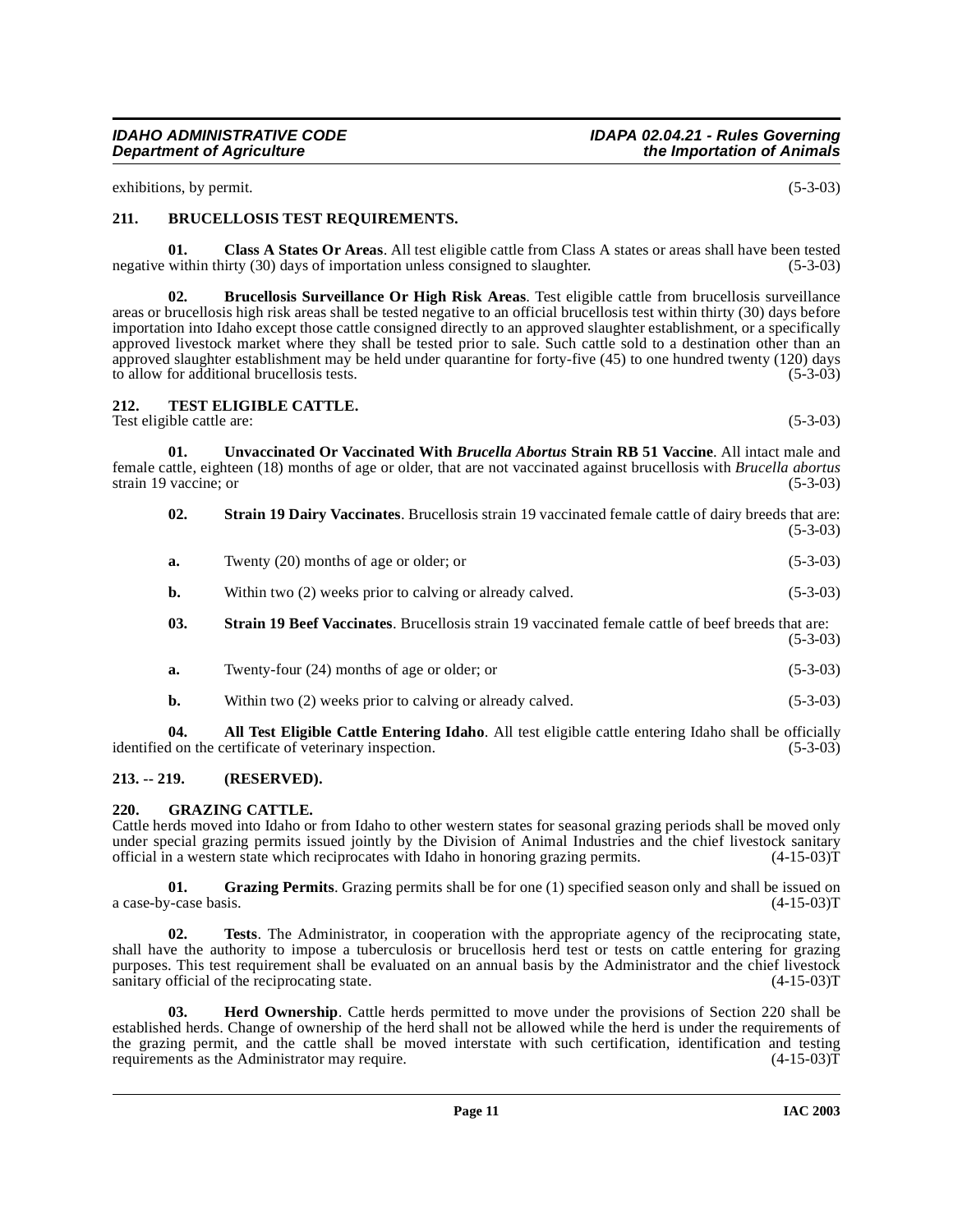#### **IDAHO ADMINISTRATIVE CODE IDAPA 02.04.21 - Rules Governing the Importation of Animals**

exhibitions, by permit. (5-3-03)

# <span id="page-10-6"></span><span id="page-10-0"></span>**211. BRUCELLOSIS TEST REQUIREMENTS.**

<span id="page-10-7"></span>**01. Class A States Or Areas**. All test eligible cattle from Class A states or areas shall have been tested negative within thirty (30) days of importation unless consigned to slaughter. (5-3-03)

<span id="page-10-5"></span>**02. Brucellosis Surveillance Or High Risk Areas**. Test eligible cattle from brucellosis surveillance areas or brucellosis high risk areas shall be tested negative to an official brucellosis test within thirty (30) days before importation into Idaho except those cattle consigned directly to an approved slaughter establishment, or a specifically approved livestock market where they shall be tested prior to sale. Such cattle sold to a destination other than an approved slaughter establishment may be held under quarantine for forty-five  $(45)$  to one hundred twenty  $(120)$  days to allow for additional brucellosis tests. to allow for additional brucellosis tests.

# <span id="page-10-11"></span><span id="page-10-1"></span>**212. TEST ELIGIBLE CATTLE.**

Test eligible cattle are: (5-3-03)

**01. Unvaccinated Or Vaccinated With** *Brucella Abortus* **Strain RB 51 Vaccine**. All intact male and female cattle, eighteen (18) months of age or older, that are not vaccinated against brucellosis with *Brucella abortus* strain 19 vaccine; or (5-3-03)

<span id="page-10-12"></span><span id="page-10-10"></span>

| 02. | <b>Strain 19 Dairy Vaccinates.</b> Brucellosis strain 19 vaccinated female cattle of dairy breeds that are: | $(5-3-03)$ |
|-----|-------------------------------------------------------------------------------------------------------------|------------|
| a.  | Twenty (20) months of age or older; or                                                                      | $(5-3-03)$ |
| b.  | Within two (2) weeks prior to calving or already calved.                                                    | $(5-3-03)$ |
| 03. | <b>Strain 19 Beef Vaccinates.</b> Brucellosis strain 19 vaccinated female cattle of beef breeds that are:   | $(5-3-03)$ |
| a.  | Twenty-four $(24)$ months of age or older; or                                                               | $(5-3-03)$ |

<span id="page-10-9"></span><span id="page-10-4"></span>**b.** Within two (2) weeks prior to calving or already calved. (5-3-03)

**04. All Test Eligible Cattle Entering Idaho**. All test eligible cattle entering Idaho shall be officially identified on the certificate of veterinary inspection. (5-3-03)

# <span id="page-10-2"></span>**213. -- 219. (RESERVED).**

# <span id="page-10-8"></span><span id="page-10-3"></span>**220. GRAZING CATTLE.**

Cattle herds moved into Idaho or from Idaho to other western states for seasonal grazing periods shall be moved only under special grazing permits issued jointly by the Division of Animal Industries and the chief livestock sanitary official in a western state which reciprocates with Idaho in honoring grazing permits. (4-15-03)T

**01. Grazing Permits**. Grazing permits shall be for one (1) specified season only and shall be issued on a case-by-case basis. (4-15-03)T

**02. Tests**. The Administrator, in cooperation with the appropriate agency of the reciprocating state, shall have the authority to impose a tuberculosis or brucellosis herd test or tests on cattle entering for grazing purposes. This test requirement shall be evaluated on an annual basis by the Administrator and the chief livestock sanitary official of the reciprocating state. (4-15-03)T

**03. Herd Ownership**. Cattle herds permitted to move under the provisions of Section 220 shall be established herds. Change of ownership of the herd shall not be allowed while the herd is under the requirements of the grazing permit, and the cattle shall be moved interstate with such certification, identification and testing requirements as the Administrator may require. (4-15-03) requirements as the Administrator may require.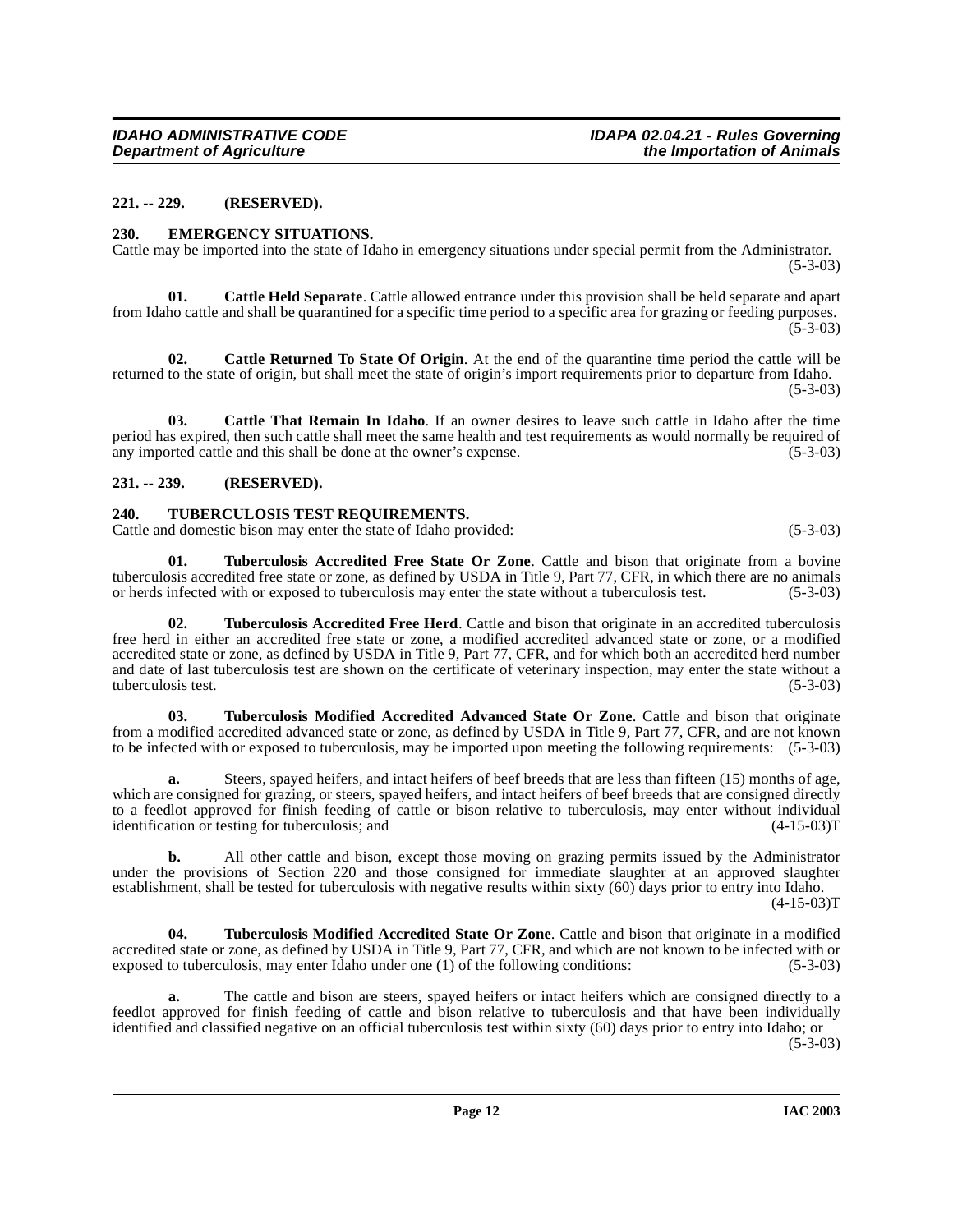#### <span id="page-11-0"></span>**221. -- 229. (RESERVED).**

#### <span id="page-11-6"></span><span id="page-11-1"></span>**230. EMERGENCY SITUATIONS.**

Cattle may be imported into the state of Idaho in emergency situations under special permit from the Administrator. (5-3-03)

<span id="page-11-4"></span>**01. Cattle Held Separate**. Cattle allowed entrance under this provision shall be held separate and apart from Idaho cattle and shall be quarantined for a specific time period to a specific area for grazing or feeding purposes.  $(5-3-03)$ 

<span id="page-11-5"></span>**02. Cattle Returned To State Of Origin**. At the end of the quarantine time period the cattle will be returned to the state of origin, but shall meet the state of origin's import requirements prior to departure from Idaho.

 $(5-3-03)$ 

**03. Cattle That Remain In Idaho**. If an owner desires to leave such cattle in Idaho after the time period has expired, then such cattle shall meet the same health and test requirements as would normally be required of any imported cattle and this shall be done at the owner's expense. any imported cattle and this shall be done at the owner's expense.

# <span id="page-11-2"></span>**231. -- 239. (RESERVED).**

# <span id="page-11-11"></span><span id="page-11-3"></span>**240. TUBERCULOSIS TEST REQUIREMENTS.**

Cattle and domestic bison may enter the state of Idaho provided: (5-3-03)

<span id="page-11-8"></span>**01. Tuberculosis Accredited Free State Or Zone**. Cattle and bison that originate from a bovine tuberculosis accredited free state or zone, as defined by USDA in Title 9, Part 77, CFR, in which there are no animals or herds infected with or exposed to tuberculosis may enter the state without a tuberculosis test. (5-3 or herds infected with or exposed to tuberculosis may enter the state without a tuberculosis test.

<span id="page-11-7"></span>**02. Tuberculosis Accredited Free Herd**. Cattle and bison that originate in an accredited tuberculosis free herd in either an accredited free state or zone, a modified accredited advanced state or zone, or a modified accredited state or zone, as defined by USDA in Title 9, Part 77, CFR, and for which both an accredited herd number and date of last tuberculosis test are shown on the certificate of veterinary inspection, may enter the state without a tuberculosis test. (5-3-03)

<span id="page-11-9"></span>**03. Tuberculosis Modified Accredited Advanced State Or Zone**. Cattle and bison that originate from a modified accredited advanced state or zone, as defined by USDA in Title 9, Part 77, CFR, and are not known to be infected with or exposed to tuberculosis, may be imported upon meeting the following requirements: (5-3-03)

**a.** Steers, spayed heifers, and intact heifers of beef breeds that are less than fifteen (15) months of age, which are consigned for grazing, or steers, spayed heifers, and intact heifers of beef breeds that are consigned directly to a feedlot approved for finish feeding of cattle or bison relative to tuberculosis, may enter without individual identification or testing for tuberculosis; and (4-15-03) identification or testing for tuberculosis; and

**b.** All other cattle and bison, except those moving on grazing permits issued by the Administrator under the provisions of Section 220 and those consigned for immediate slaughter at an approved slaughter establishment, shall be tested for tuberculosis with negative results within sixty (60) days prior to entry into Idaho.

 $(4-15-03)$ T

<span id="page-11-10"></span>**04. Tuberculosis Modified Accredited State Or Zone**. Cattle and bison that originate in a modified accredited state or zone, as defined by USDA in Title 9, Part 77, CFR, and which are not known to be infected with or<br>exposed to tuberculosis, may enter Idaho under one (1) of the following conditions: (5-3-03) exposed to tuberculosis, may enter Idaho under one  $(1)$  of the following conditions:

The cattle and bison are steers, spayed heifers or intact heifers which are consigned directly to a feedlot approved for finish feeding of cattle and bison relative to tuberculosis and that have been individually identified and classified negative on an official tuberculosis test within sixty (60) days prior to entry into Idaho; or (5-3-03)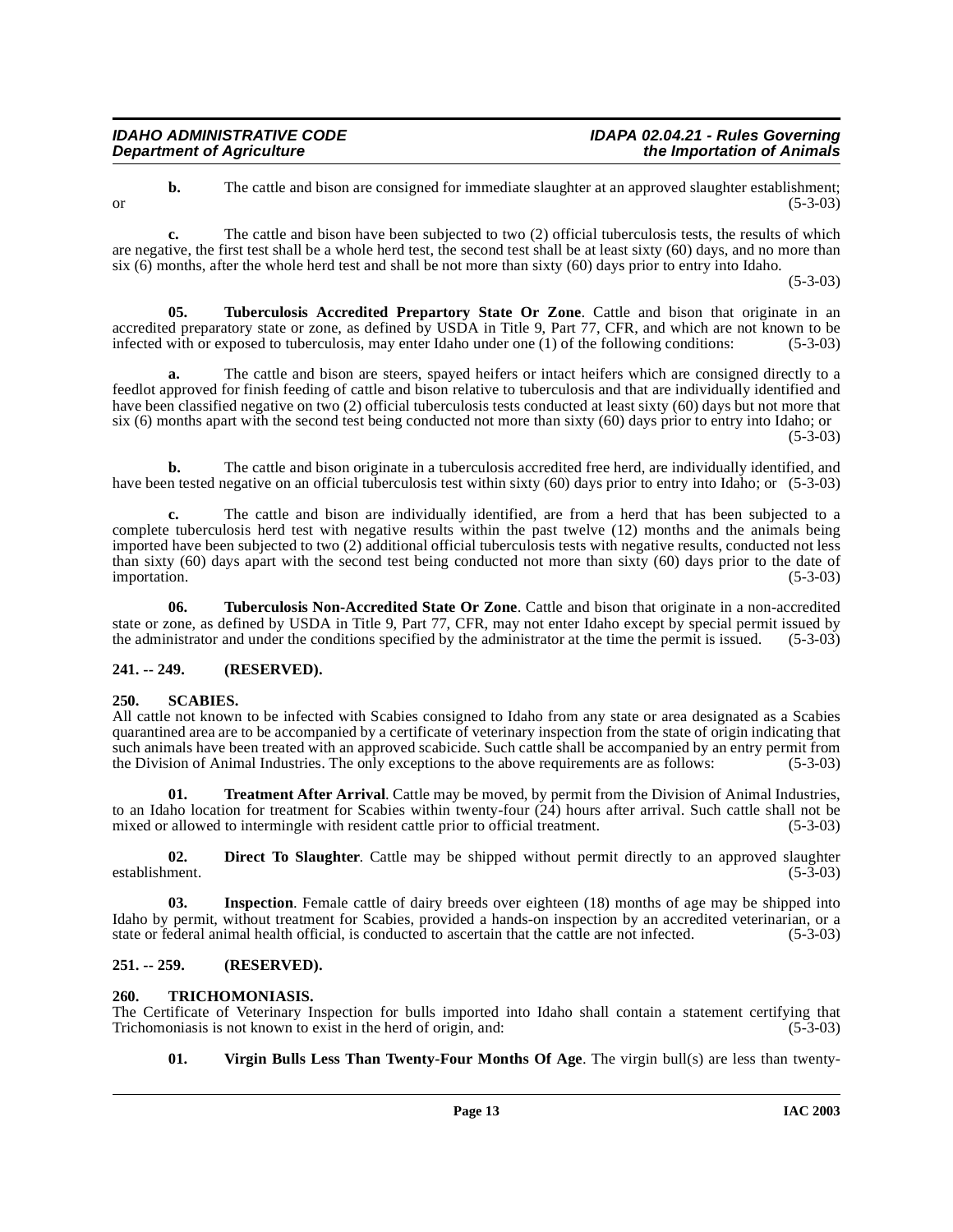| IDAHO ADMINISTRATIVE CODE        | IDAPA 02.04.21 - Rules Governing |
|----------------------------------|----------------------------------|
| <b>Department of Agriculture</b> | the Importation of Animals       |

**b.** The cattle and bison are consigned for immediate slaughter at an approved slaughter establishment; or  $(5-3-03)$ 

**c.** The cattle and bison have been subjected to two (2) official tuberculosis tests, the results of which are negative, the first test shall be a whole herd test, the second test shall be at least sixty (60) days, and no more than six (6) months, after the whole herd test and shall be not more than sixty (60) days prior to entry into Idaho.

(5-3-03)

<span id="page-12-9"></span>**05. Tuberculosis Accredited Prepartory State Or Zone**. Cattle and bison that originate in an accredited preparatory state or zone, as defined by USDA in Title 9, Part 77, CFR, and which are not known to be infected with or exposed to tuberculosis, may enter Idaho under one (1) of the following conditions: (5-3-03)

**a.** The cattle and bison are steers, spayed heifers or intact heifers which are consigned directly to a feedlot approved for finish feeding of cattle and bison relative to tuberculosis and that are individually identified and have been classified negative on two (2) official tuberculosis tests conducted at least sixty (60) days but not more that six (6) months apart with the second test being conducted not more than sixty (60) days prior to entry into Idaho; or (5-3-03)

**b.** The cattle and bison originate in a tuberculosis accredited free herd, are individually identified, and have been tested negative on an official tuberculosis test within sixty (60) days prior to entry into Idaho; or (5-3-03)

**c.** The cattle and bison are individually identified, are from a herd that has been subjected to a complete tuberculosis herd test with negative results within the past twelve (12) months and the animals being imported have been subjected to two (2) additional official tuberculosis tests with negative results, conducted not less than sixty (60) days apart with the second test being conducted not more than sixty (60) days prior to the date of importation. (5-3-03) importation. (5-3-03)

<span id="page-12-10"></span>**06. Tuberculosis Non-Accredited State Or Zone**. Cattle and bison that originate in a non-accredited state or zone, as defined by USDA in Title 9, Part 77, CFR, may not enter Idaho except by special permit issued by the administrator and under the conditions specified by the administrator at the time the permit is issued. (5-3-03)

# <span id="page-12-0"></span>**241. -- 249. (RESERVED).**

# <span id="page-12-6"></span><span id="page-12-1"></span>**250. SCABIES.**

All cattle not known to be infected with Scabies consigned to Idaho from any state or area designated as a Scabies quarantined area are to be accompanied by a certificate of veterinary inspection from the state of origin indicating that such animals have been treated with an approved scabicide. Such cattle shall be accompanied by an entry permit from the Division of Animal Industries. The only exceptions to the above requirements are as follows: (5-3-03)

<span id="page-12-7"></span>**01. Treatment After Arrival**. Cattle may be moved, by permit from the Division of Animal Industries, to an Idaho location for treatment for Scabies within twenty-four (24) hours after arrival. Such cattle shall not be mixed or allowed to intermingle with resident cattle prior to official treatment. (5-3-03)

<span id="page-12-4"></span>**02. Direct To Slaughter**. Cattle may be shipped without permit directly to an approved slaughter ment. (5-3-03) establishment.

<span id="page-12-5"></span>**03.** Inspection. Female cattle of dairy breeds over eighteen (18) months of age may be shipped into Idaho by permit, without treatment for Scabies, provided a hands-on inspection by an accredited veterinarian, or a state or federal animal health official, is conducted to ascertain that the cattle are not infected. (5-3-03)

# <span id="page-12-2"></span>**251. -- 259. (RESERVED).**

# <span id="page-12-8"></span><span id="page-12-3"></span>**260. TRICHOMONIASIS.**

The Certificate of Veterinary Inspection for bulls imported into Idaho shall contain a statement certifying that Trichomoniasis is not known to exist in the herd of origin, and: (5-3-03) Trichomoniasis is not known to exist in the herd of origin, and:

<span id="page-12-11"></span>**01. Virgin Bulls Less Than Twenty-Four Months Of Age**. The virgin bull(s) are less than twenty-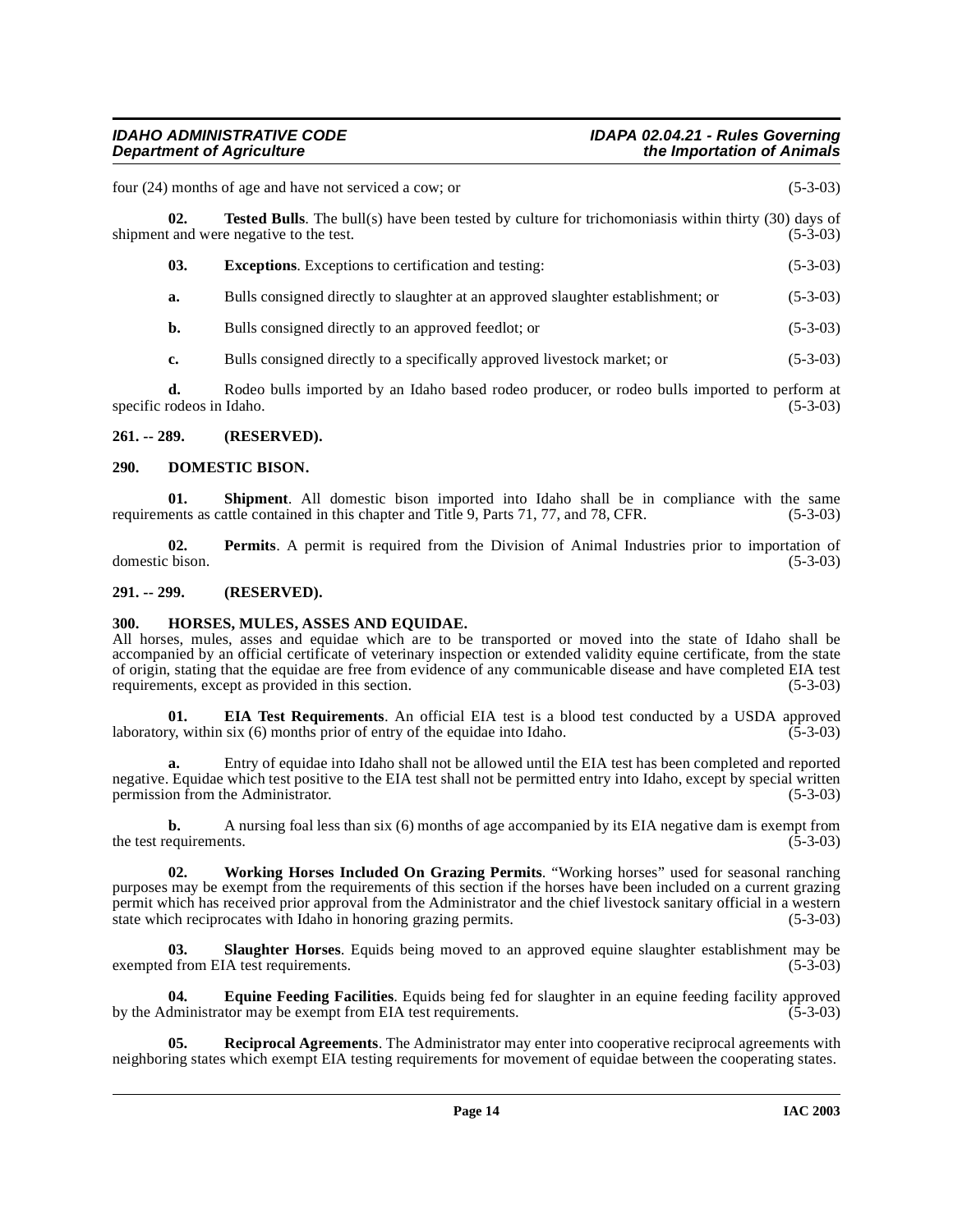# **IDAHO ADMINISTRATIVE CODE IDAPA 02.04.21 - Rules Governing the Importation of Animals**

<span id="page-13-12"></span>

|                                 | four (24) months of age and have not serviced a cow; or                                                                                                | $(5-3-03)$ |
|---------------------------------|--------------------------------------------------------------------------------------------------------------------------------------------------------|------------|
| 02.                             | <b>Tested Bulls</b> . The bull(s) have been tested by culture for trichomoniasis within thirty (30) days of<br>shipment and were negative to the test. | $(5-3-03)$ |
| 03.                             | <b>Exceptions.</b> Exceptions to certification and testing:                                                                                            | $(5-3-03)$ |
| a.                              | Bulls consigned directly to slaughter at an approved slaughter establishment; or                                                                       | $(5-3-03)$ |
| b.                              | Bulls consigned directly to an approved feedlot; or                                                                                                    | $(5-3-03)$ |
| c.                              | Bulls consigned directly to a specifically approved livestock market; or                                                                               | $(5-3-03)$ |
| d.<br>specific rodeos in Idaho. | Rodeo bulls imported by an Idaho based rodeo producer, or rodeo bulls imported to perform at                                                           | $(5-3-03)$ |

## <span id="page-13-0"></span>**261. -- 289. (RESERVED).**

## <span id="page-13-4"></span><span id="page-13-1"></span>**290. DOMESTIC BISON.**

<span id="page-13-10"></span>**01.** Shipment. All domestic bison imported into Idaho shall be in compliance with the same ents as cattle contained in this chapter and Title 9, Parts 71, 77, and 78, CFR. (5-3-03) requirements as cattle contained in this chapter and Title 9, Parts 71, 77, and 78, CFR.

<span id="page-13-8"></span>**02. Permits**. A permit is required from the Division of Animal Industries prior to importation of domestic bison. (5-3-03)

#### <span id="page-13-2"></span>**291. -- 299. (RESERVED).**

#### <span id="page-13-7"></span><span id="page-13-3"></span>**300. HORSES, MULES, ASSES AND EQUIDAE.**

All horses, mules, asses and equidae which are to be transported or moved into the state of Idaho shall be accompanied by an official certificate of veterinary inspection or extended validity equine certificate, from the state of origin, stating that the equidae are free from evidence of any communicable disease and have completed EIA test requirements, except as provided in this section. (5-3-03)

<span id="page-13-5"></span>**01. EIA Test Requirements**. An official EIA test is a blood test conducted by a USDA approved y, within six (6) months prior of entry of the equidae into Idaho. (5-3-03) laboratory, within six  $(6)$  months prior of entry of the equidae into Idaho.

**a.** Entry of equidae into Idaho shall not be allowed until the EIA test has been completed and reported negative. Equidae which test positive to the EIA test shall not be permitted entry into Idaho, except by special written permission from the Administrator. (5-3-03) permission from the Administrator.

**b.** A nursing foal less than six (6) months of age accompanied by its EIA negative dam is exempt from the test requirements.  $(5-3-03)$ 

<span id="page-13-13"></span>**02. Working Horses Included On Grazing Permits**. "Working horses" used for seasonal ranching purposes may be exempt from the requirements of this section if the horses have been included on a current grazing permit which has received prior approval from the Administrator and the chief livestock sanitary official in a western state which reciprocates with Idaho in honoring grazing permits. (5-3-03)

<span id="page-13-11"></span>**03.** Slaughter Horses. Equids being moved to an approved equine slaughter establishment may be d from EIA test requirements. (5-3-03) exempted from EIA test requirements.

<span id="page-13-6"></span>**04. Equine Feeding Facilities**. Equids being fed for slaughter in an equine feeding facility approved by the Administrator may be exempt from EIA test requirements.

<span id="page-13-9"></span>**05.** Reciprocal Agreements. The Administrator may enter into cooperative reciprocal agreements with neighboring states which exempt EIA testing requirements for movement of equidae between the cooperating states.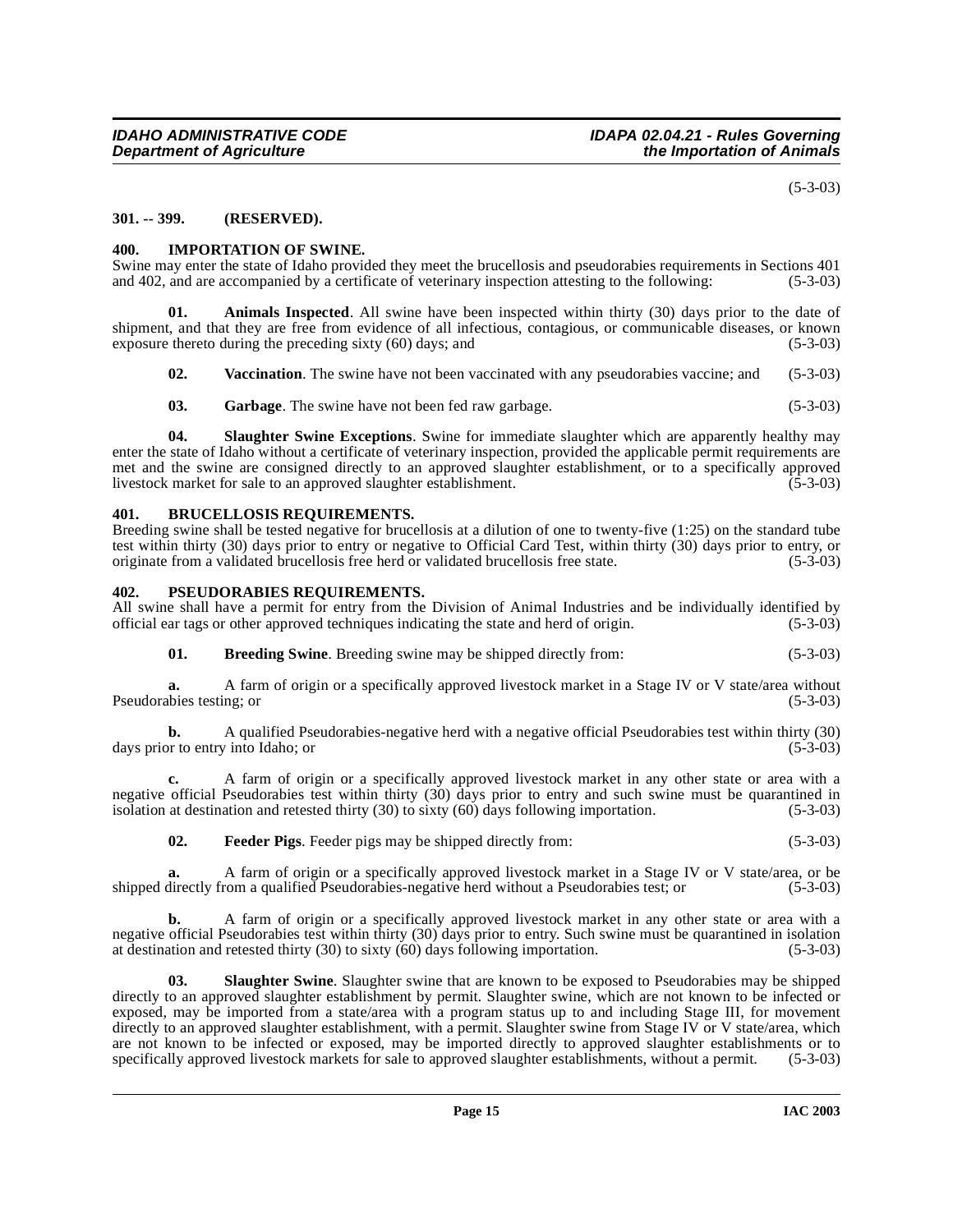(5-3-03)

# <span id="page-14-0"></span>**301. -- 399. (RESERVED).**

#### <span id="page-14-6"></span><span id="page-14-1"></span>**400. IMPORTATION OF SWINE.**

Swine may enter the state of Idaho provided they meet the brucellosis and pseudorabies requirements in Sections 401 and 402, and are accompanied by a certificate of veterinary inspection attesting to the following: (5-3-03 and 402, and are accompanied by a certificate of veterinary inspection attesting to the following:

**01. Animals Inspected**. All swine have been inspected within thirty (30) days prior to the date of shipment, and that they are free from evidence of all infectious, contagious, or communicable diseases, or known exposure thereto during the preceding sixty (60) days; and (5-3-03)

<span id="page-14-9"></span><span id="page-14-4"></span>

| 02. |  | <b>Vaccination</b> . The swine have not been vaccinated with any pseudorabies vaccine; and (5-3-03) |  |  |  |  |
|-----|--|-----------------------------------------------------------------------------------------------------|--|--|--|--|
|-----|--|-----------------------------------------------------------------------------------------------------|--|--|--|--|

<span id="page-14-8"></span>**03.** Garbage. The swine have not been fed raw garbage. (5-3-03)

**04. Slaughter Swine Exceptions**. Swine for immediate slaughter which are apparently healthy may enter the state of Idaho without a certificate of veterinary inspection, provided the applicable permit requirements are met and the swine are consigned directly to an approved slaughter establishment, or to a specifically approved livestock market for sale to an approved slaughter establishment. (5-3-03)

# <span id="page-14-5"></span><span id="page-14-2"></span>**401. BRUCELLOSIS REQUIREMENTS.**

Breeding swine shall be tested negative for brucellosis at a dilution of one to twenty-five (1:25) on the standard tube test within thirty (30) days prior to entry or negative to Official Card Test, within thirty (30) days prior to entry, or originate from a validated brucellosis free herd or validated brucellosis free state. (5-3-03)

### <span id="page-14-7"></span><span id="page-14-3"></span>**402. PSEUDORABIES REQUIREMENTS.**

All swine shall have a permit for entry from the Division of Animal Industries and be individually identified by official ear tags or other approved techniques indicating the state and herd of origin. (5-3-03) official ear tags or other approved techniques indicating the state and herd of origin.

**01. Breeding Swine**. Breeding swine may be shipped directly from: (5-3-03)

**a.** A farm of origin or a specifically approved livestock market in a Stage IV or V state/area without Pseudorabies testing; or (5-3-03)

**b.** A qualified Pseudorabies-negative herd with a negative official Pseudorabies test within thirty (30) days prior to entry into Idaho; or (5-3-03)

**c.** A farm of origin or a specifically approved livestock market in any other state or area with a negative official Pseudorabies test within thirty (30) days prior to entry and such swine must be quarantined in isolation at destination and retested thirty (30) to sixty (60) days following importation.  $(5-3-03)$ isolation at destination and retested thirty  $(30)$  to sixty  $(60)$  days following importation.

**02. Feeder Pigs**. Feeder pigs may be shipped directly from: (5-3-03)

**a.** A farm of origin or a specifically approved livestock market in a Stage IV or V state/area, or be directly from a qualified Pseudorabies-negative herd without a Pseudorabies test: or (5-3-03) shipped directly from a qualified Pseudorabies-negative herd without a Pseudorabies test; or

**b.** A farm of origin or a specifically approved livestock market in any other state or area with a negative official Pseudorabies test within thirty (30) days prior to entry. Such swine must be quarantined in isolation at destination and retested thirty (30) to sixty (60) days following importation. (5-3-03) at destination and retested thirty  $(30)$  to sixty  $(60)$  days following importation.

**03. Slaughter Swine**. Slaughter swine that are known to be exposed to Pseudorabies may be shipped directly to an approved slaughter establishment by permit. Slaughter swine, which are not known to be infected or exposed, may be imported from a state/area with a program status up to and including Stage III, for movement directly to an approved slaughter establishment, with a permit. Slaughter swine from Stage IV or V state/area, which are not known to be infected or exposed, may be imported directly to approved slaughter establishments or to specifically approved livestock markets for sale to approved slaughter establishments, without a permit. (5-3-03)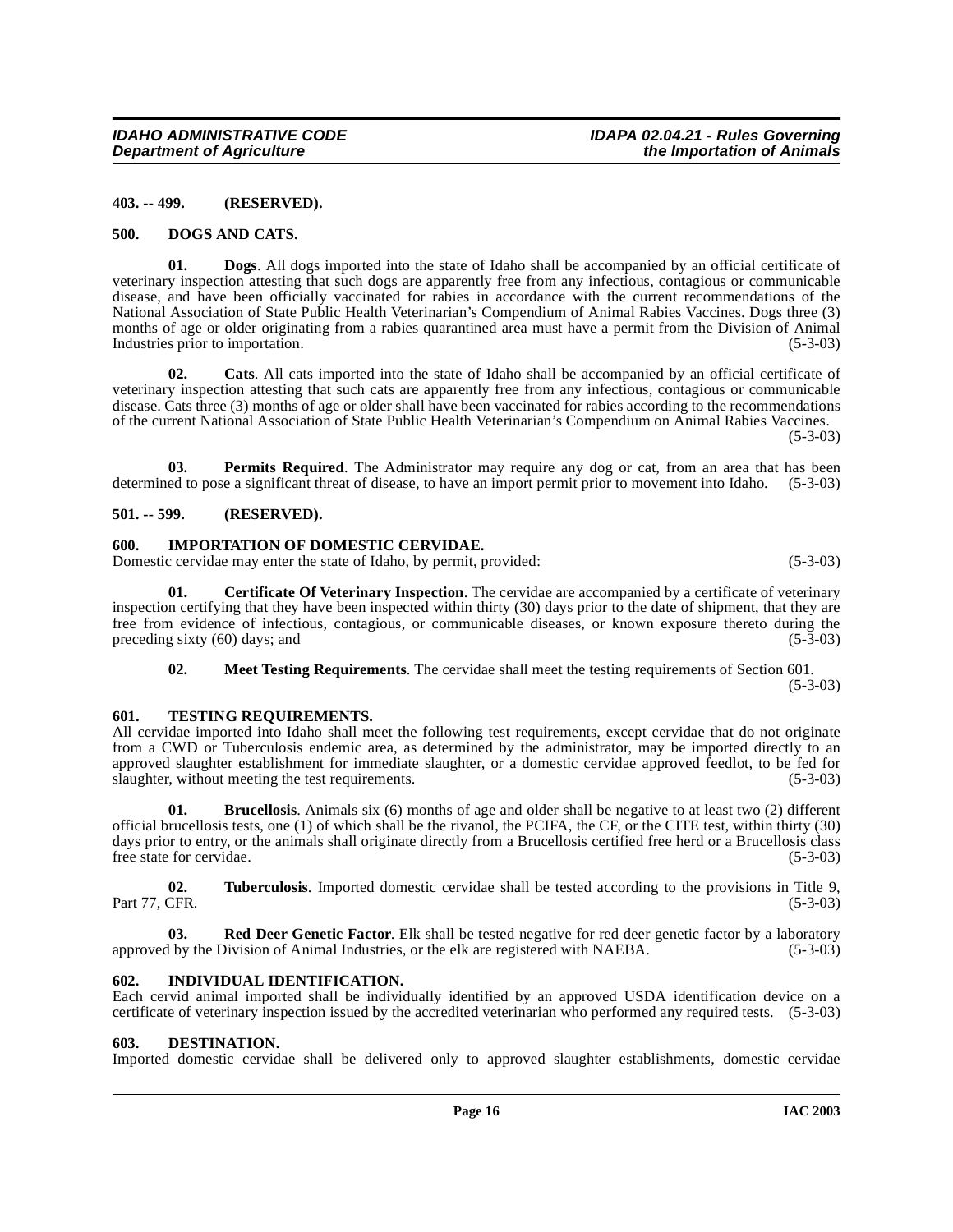#### <span id="page-15-0"></span>**403. -- 499. (RESERVED).**

#### <span id="page-15-8"></span><span id="page-15-1"></span>**500. DOGS AND CATS.**

**01. Dogs**. All dogs imported into the state of Idaho shall be accompanied by an official certificate of veterinary inspection attesting that such dogs are apparently free from any infectious, contagious or communicable disease, and have been officially vaccinated for rabies in accordance with the current recommendations of the National Association of State Public Health Veterinarian's Compendium of Animal Rabies Vaccines. Dogs three (3) months of age or older originating from a rabies quarantined area must have a permit from the Division of Animal Industries prior to importation. (5-3-03)

**02. Cats**. All cats imported into the state of Idaho shall be accompanied by an official certificate of veterinary inspection attesting that such cats are apparently free from any infectious, contagious or communicable disease. Cats three (3) months of age or older shall have been vaccinated for rabies according to the recommendations of the current National Association of State Public Health Veterinarian's Compendium on Animal Rabies Vaccines.

(5-3-03)

**03. Permits Required**. The Administrator may require any dog or cat, from an area that has been determined to pose a significant threat of disease, to have an import permit prior to movement into Idaho. (5-3-03)

#### <span id="page-15-2"></span>**501. -- 599. (RESERVED).**

#### <span id="page-15-9"></span><span id="page-15-3"></span>**600. IMPORTATION OF DOMESTIC CERVIDAE.**

Domestic cervidae may enter the state of Idaho, by permit, provided: (5-3-03)

**01. Certificate Of Veterinary Inspection**. The cervidae are accompanied by a certificate of veterinary inspection certifying that they have been inspected within thirty (30) days prior to the date of shipment, that they are free from evidence of infectious, contagious, or communicable diseases, or known exposure thereto during the preceding sixty (60) days; and (5-3-03) preceding sixty  $(60)$  days; and

<span id="page-15-11"></span>**02. Meet Testing Requirements**. The cervidae shall meet the testing requirements of Section 601. (5-3-03)

#### <span id="page-15-4"></span>**601. TESTING REQUIREMENTS.**

All cervidae imported into Idaho shall meet the following test requirements, except cervidae that do not originate from a CWD or Tuberculosis endemic area, as determined by the administrator, may be imported directly to an approved slaughter establishment for immediate slaughter, or a domestic cervidae approved feedlot, to be fed for slaughter, without meeting the test requirements. (5-3-03)

**01. Brucellosis**. Animals six (6) months of age and older shall be negative to at least two (2) different official brucellosis tests, one (1) of which shall be the rivanol, the PCIFA, the CF, or the CITE test, within thirty (30) days prior to entry, or the animals shall originate directly from a Brucellosis certified free herd or a Brucellosis class free state for cervidae. (5-3-03)

**02. Tuberculosis**. Imported domestic cervidae shall be tested according to the provisions in Title 9, Part 77, CFR. (5-3-03)

**03.** Red Deer Genetic Factor. Elk shall be tested negative for red deer genetic factor by a laboratory by the Division of Animal Industries, or the elk are registered with NAEBA. (5-3-03) approved by the Division of Animal Industries, or the elk are registered with NAEBA.

#### <span id="page-15-10"></span><span id="page-15-5"></span>**602. INDIVIDUAL IDENTIFICATION.**

Each cervid animal imported shall be individually identified by an approved USDA identification device on a certificate of veterinary inspection issued by the accredited veterinarian who performed any required tests. (5-3-03)

#### <span id="page-15-7"></span><span id="page-15-6"></span>**603. DESTINATION.**

Imported domestic cervidae shall be delivered only to approved slaughter establishments, domestic cervidae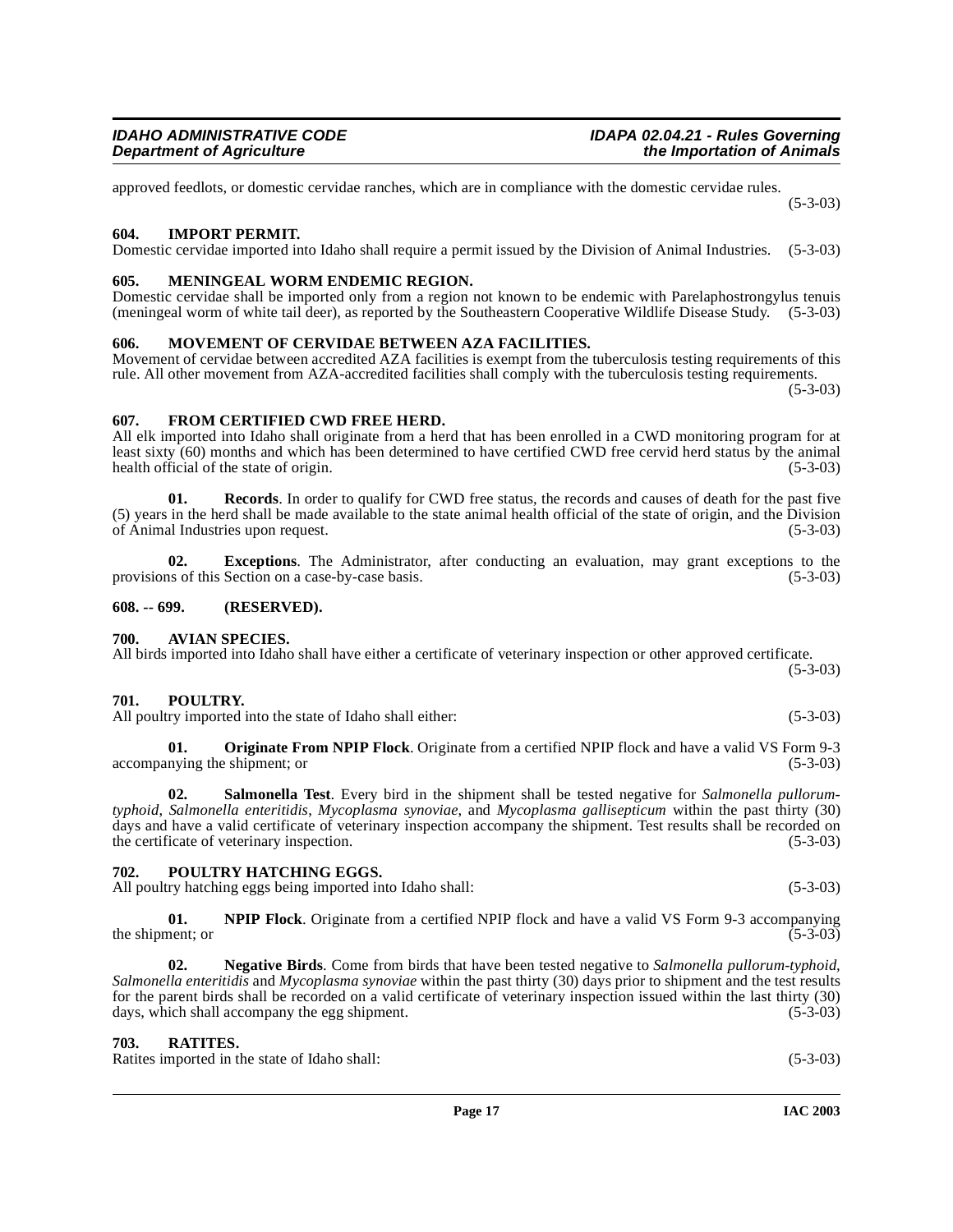**IDAHO ADMINISTRATIVE CODE**<br>Department of Agriculture in the Importation of Animals<br>*Department of Agriculture* 

approved feedlots, or domestic cervidae ranches, which are in compliance with the domestic cervidae rules.

#### <span id="page-16-10"></span><span id="page-16-0"></span>**604. IMPORT PERMIT.**

Domestic cervidae imported into Idaho shall require a permit issued by the Division of Animal Industries. (5-3-03)

# <span id="page-16-11"></span><span id="page-16-1"></span>**605. MENINGEAL WORM ENDEMIC REGION.**

Domestic cervidae shall be imported only from a region not known to be endemic with Parelaphostrongylus tenuis (meningeal worm of white tail deer), as reported by the Southeastern Cooperative Wildlife Disease Study. (5-3-03)

### <span id="page-16-12"></span><span id="page-16-2"></span>**606. MOVEMENT OF CERVIDAE BETWEEN AZA FACILITIES.**

Movement of cervidae between accredited AZA facilities is exempt from the tuberculosis testing requirements of this rule. All other movement from AZA-accredited facilities shall comply with the tuberculosis testing requirements.  $(5-3-03)$ 

<span id="page-16-9"></span>**607. FROM CERTIFIED CWD FREE HERD.**

All elk imported into Idaho shall originate from a herd that has been enrolled in a CWD monitoring program for at least sixty (60) months and which has been determined to have certified CWD free cervid herd status by the animal health official of the state of origin. (5-3-03)

**01. Records**. In order to qualify for CWD free status, the records and causes of death for the past five (5) years in the herd shall be made available to the state animal health official of the state of origin, and the Division of Animal Industries upon request.  $(5-3-03)$ of Animal Industries upon request.

**02. Exceptions**. The Administrator, after conducting an evaluation, may grant exceptions to the provisions of this Section on a case-by-case basis. (5-3-03)

#### <span id="page-16-3"></span>**608. -- 699. (RESERVED).**

#### <span id="page-16-8"></span><span id="page-16-4"></span>**700. AVIAN SPECIES.**

All birds imported into Idaho shall have either a certificate of veterinary inspection or other approved certificate.

#### <span id="page-16-15"></span><span id="page-16-5"></span>**701. POULTRY.**

All poultry imported into the state of Idaho shall either: (5-3-03)

<span id="page-16-13"></span>**Originate From NPIP Flock**. Originate from a certified NPIP flock and have a valid VS Form 9-3 shipment; or (5-3-03) accompanying the shipment; or

<span id="page-16-17"></span>**02. Salmonella Test**. Every bird in the shipment shall be tested negative for *Salmonella pullorumtyphoid*, *Salmonella enteritidis*, *Mycoplasma synoviae*, and *Mycoplasma gallisepticum* within the past thirty (30) days and have a valid certificate of veterinary inspection accompany the shipment. Test results shall be recorded on the certificate of veterinary inspection. (5-3-03) (5-3-03)

### <span id="page-16-14"></span><span id="page-16-6"></span>**702. POULTRY HATCHING EGGS.**

All poultry hatching eggs being imported into Idaho shall: (5-3-03) (5-3-03)

**01. NPIP Flock**. Originate from a certified NPIP flock and have a valid VS Form 9-3 accompanying (5-3-03) the shipment; or

**02. Negative Birds**. Come from birds that have been tested negative to *Salmonella pullorum-typhoid, Salmonella enteritidis* and *Mycoplasma synoviae* within the past thirty (30) days prior to shipment and the test results for the parent birds shall be recorded on a valid certificate of veterinary inspection issued within the last thirty (30) days, which shall accompany the egg shipment.

#### <span id="page-16-16"></span><span id="page-16-7"></span>**703. RATITES.**

Ratites imported in the state of Idaho shall: (5-3-03)

(5-3-03)

**the Importation of Animals**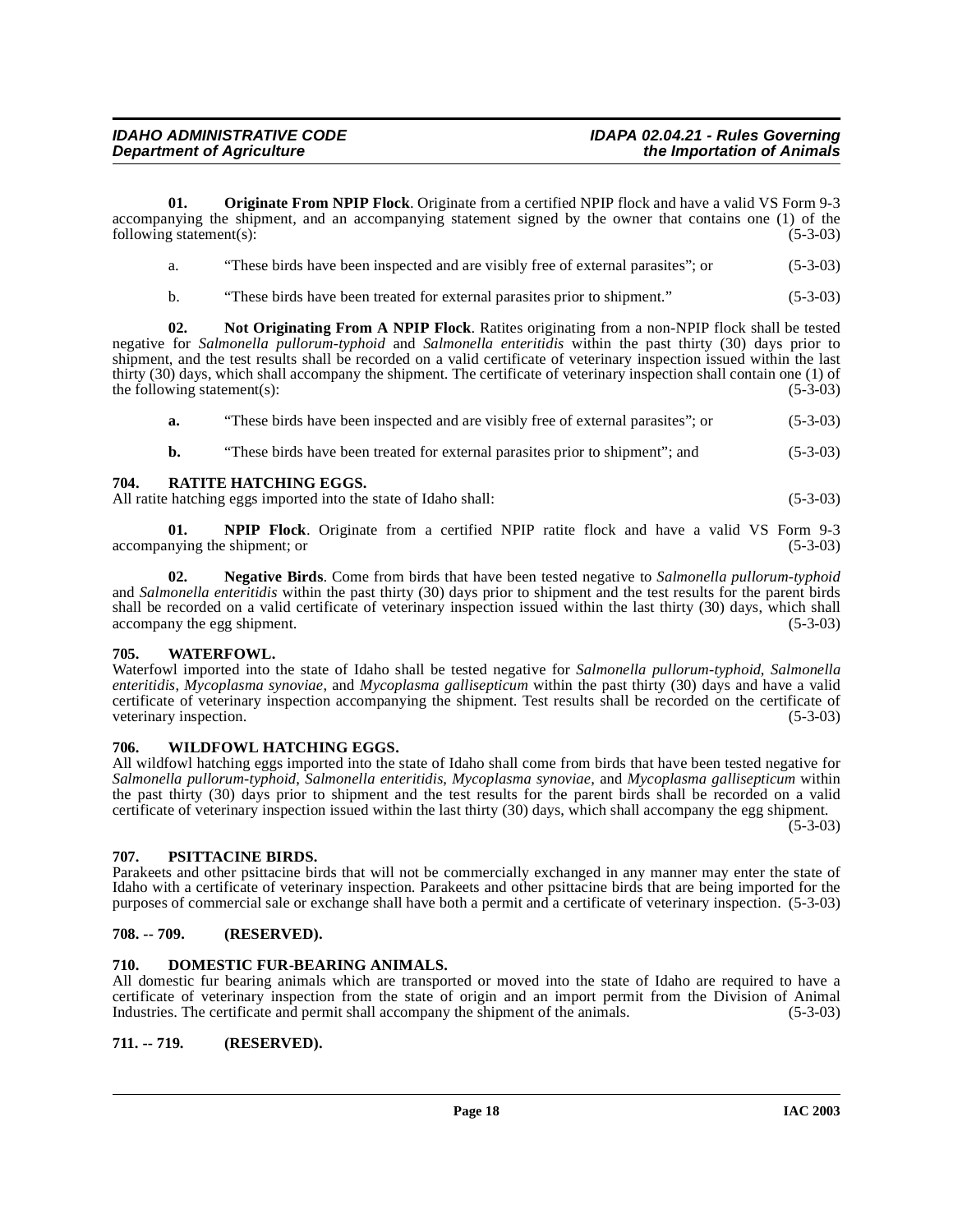**01. Originate From NPIP Flock**. Originate from a certified NPIP flock and have a valid VS Form 9-3 accompanying the shipment, and an accompanying statement signed by the owner that contains one (1) of the following statement(s): (5-3-03) (5-3-03)

<span id="page-17-9"></span>

| a. | "These birds have been inspected and are visibly free of external parasites": or | $(5-3-03)$ |
|----|----------------------------------------------------------------------------------|------------|
|    |                                                                                  |            |

<span id="page-17-8"></span>b. "These birds have been treated for external parasites prior to shipment." (5-3-03)

**02. Not Originating From A NPIP Flock**. Ratites originating from a non-NPIP flock shall be tested negative for *Salmonella pullorum-typhoid* and *Salmonella enteritidis* within the past thirty (30) days prior to shipment, and the test results shall be recorded on a valid certificate of veterinary inspection issued within the last thirty (30) days, which shall accompany the shipment. The certificate of veterinary inspection shall contain one (1) of the following statement(s):  $(5-3-03)$ 

**a.** "These birds have been inspected and are visibly free of external parasites"; or (5-3-03)

<span id="page-17-11"></span>**b.** "These birds have been treated for external parasites prior to shipment"; and  $(5-3-03)$ 

#### <span id="page-17-0"></span>**704. RATITE HATCHING EGGS.**

All ratite hatching eggs imported into the state of Idaho shall: (5-3-03)

**01. NPIP Flock**. Originate from a certified NPIP ratite flock and have a valid VS Form 9-3 accompanying the shipment; or

**02. Negative Birds**. Come from birds that have been tested negative to *Salmonella pullorum-typhoid* and *Salmonella enteritidis* within the past thirty (30) days prior to shipment and the test results for the parent birds shall be recorded on a valid certificate of veterinary inspection issued within the last thirty (30) days, which shall accompany the egg shipment. (5-3-03) accompany the egg shipment.

#### <span id="page-17-12"></span><span id="page-17-1"></span>**705. WATERFOWL.**

Waterfowl imported into the state of Idaho shall be tested negative for *Salmonella pullorum-typhoid*, *Salmonella enteritidis*, *Mycoplasma synoviae*, and *Mycoplasma gallisepticum* within the past thirty (30) days and have a valid certificate of veterinary inspection accompanying the shipment. Test results shall be recorded on the certificate of veterinary inspection.

#### <span id="page-17-13"></span><span id="page-17-2"></span>**706. WILDFOWL HATCHING EGGS.**

All wildfowl hatching eggs imported into the state of Idaho shall come from birds that have been tested negative for *Salmonella pullorum-typhoid*, *Salmonella enteritidis*, *Mycoplasma synoviae*, and *Mycoplasma gallisepticum* within the past thirty (30) days prior to shipment and the test results for the parent birds shall be recorded on a valid certificate of veterinary inspection issued within the last thirty (30) days, which shall accompany the egg shipment.

 $(5-3-03)$ 

#### <span id="page-17-10"></span><span id="page-17-3"></span>**707. PSITTACINE BIRDS.**

Parakeets and other psittacine birds that will not be commercially exchanged in any manner may enter the state of Idaho with a certificate of veterinary inspection. Parakeets and other psittacine birds that are being imported for the purposes of commercial sale or exchange shall have both a permit and a certificate of veterinary inspection. (5-3-03)

#### <span id="page-17-4"></span>**708. -- 709. (RESERVED).**

#### <span id="page-17-7"></span><span id="page-17-5"></span>**710. DOMESTIC FUR-BEARING ANIMALS.**

All domestic fur bearing animals which are transported or moved into the state of Idaho are required to have a certificate of veterinary inspection from the state of origin and an import permit from the Division of Animal Industries. The certificate and permit shall accompany the shipment of the animals. (5-3-03)

<span id="page-17-6"></span>**711. -- 719. (RESERVED).**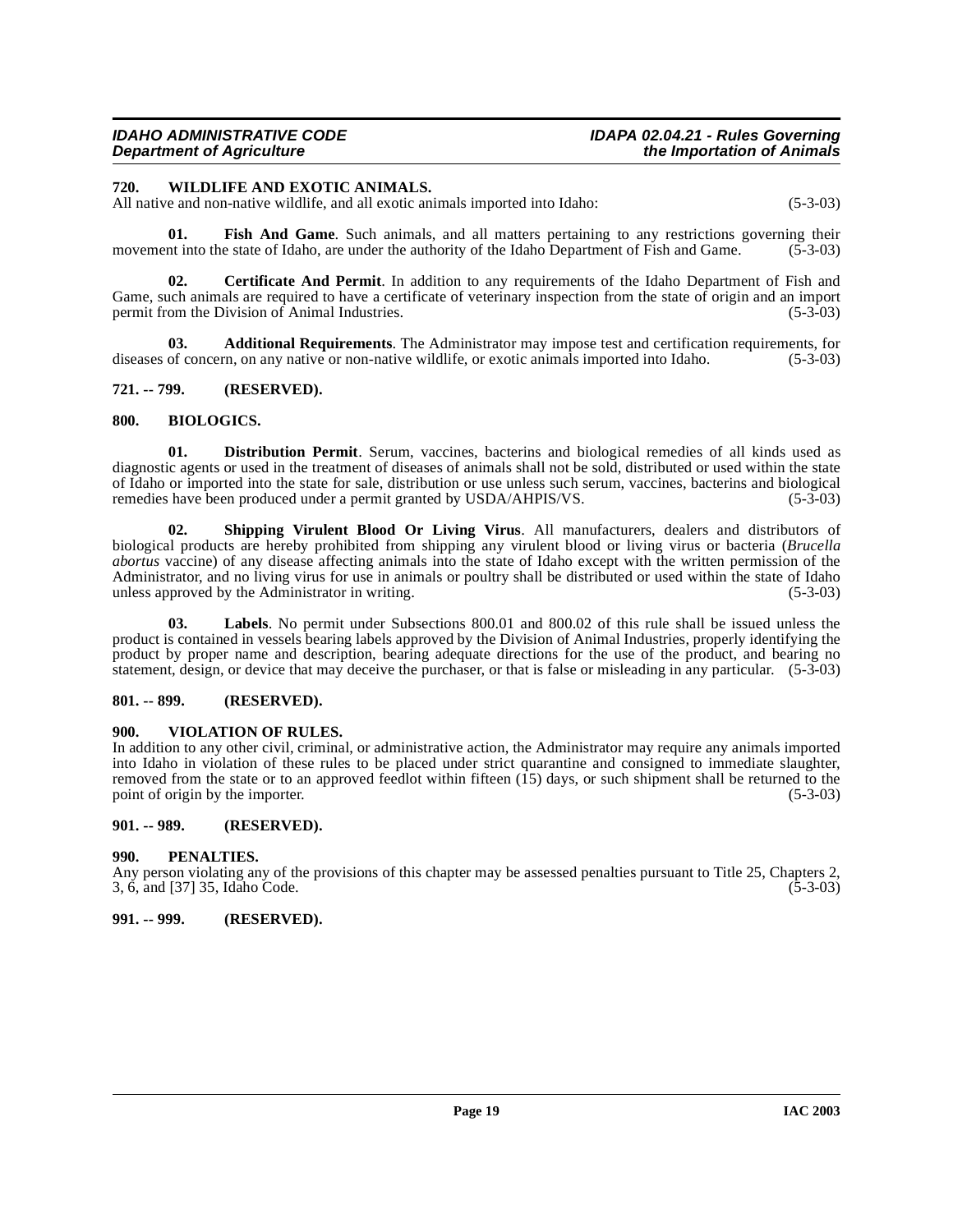#### <span id="page-18-13"></span><span id="page-18-0"></span>**720. WILDLIFE AND EXOTIC ANIMALS.**

All native and non-native wildlife, and all exotic animals imported into Idaho: (5-3-03)

**01. Fish And Game**. Such animals, and all matters pertaining to any restrictions governing their movement into the state of Idaho, are under the authority of the Idaho Department of Fish and Game. (5-3-03)

**02. Certificate And Permit**. In addition to any requirements of the Idaho Department of Fish and Game, such animals are required to have a certificate of veterinary inspection from the state of origin and an import permit from the Division of Animal Industries. (5-3-03)

**03. Additional Requirements**. The Administrator may impose test and certification requirements, for diseases of concern, on any native or non-native wildlife, or exotic animals imported into Idaho. (5-3-03)

## <span id="page-18-1"></span>**721. -- 799. (RESERVED).**

#### <span id="page-18-8"></span><span id="page-18-2"></span>**800. BIOLOGICS.**

<span id="page-18-9"></span>**01. Distribution Permit**. Serum, vaccines, bacterins and biological remedies of all kinds used as diagnostic agents or used in the treatment of diseases of animals shall not be sold, distributed or used within the state of Idaho or imported into the state for sale, distribution or use unless such serum, vaccines, bacterins and biological remedies have been produced under a permit granted by USDA/AHPIS/VS. (5-3-03)

<span id="page-18-11"></span>**02. Shipping Virulent Blood Or Living Virus**. All manufacturers, dealers and distributors of biological products are hereby prohibited from shipping any virulent blood or living virus or bacteria (*Brucella abortus* vaccine) of any disease affecting animals into the state of Idaho except with the written permission of the Administrator, and no living virus for use in animals or poultry shall be distributed or used within the state of Idaho unless approved by the Administrator in writing. (5-3-03) unless approved by the Administrator in writing.

Labels. No permit under Subsections 800.01 and 800.02 of this rule shall be issued unless the product is contained in vessels bearing labels approved by the Division of Animal Industries, properly identifying the product by proper name and description, bearing adequate directions for the use of the product, and bearing no statement, design, or device that may deceive the purchaser, or that is false or misleading in any particular. (5-3-03)

# <span id="page-18-3"></span>**801. -- 899. (RESERVED).**

#### <span id="page-18-12"></span><span id="page-18-4"></span>**900. VIOLATION OF RULES.**

In addition to any other civil, criminal, or administrative action, the Administrator may require any animals imported into Idaho in violation of these rules to be placed under strict quarantine and consigned to immediate slaughter, removed from the state or to an approved feedlot within fifteen  $(15)$  days, or such shipment shall be returned to the point of origin by the importer.  $(5-3-03)$ point of origin by the importer.

#### <span id="page-18-5"></span>**901. -- 989. (RESERVED).**

#### <span id="page-18-10"></span><span id="page-18-6"></span>**990. PENALTIES.**

Any person violating any of the provisions of this chapter may be assessed penalties pursuant to Title 25, Chapters 2, 3, 6, and [37] 35, Idaho Code. (5-3-03)  $3, 6,$  and  $[37]$   $35,$  Idaho Code.

#### <span id="page-18-7"></span>**991. -- 999. (RESERVED).**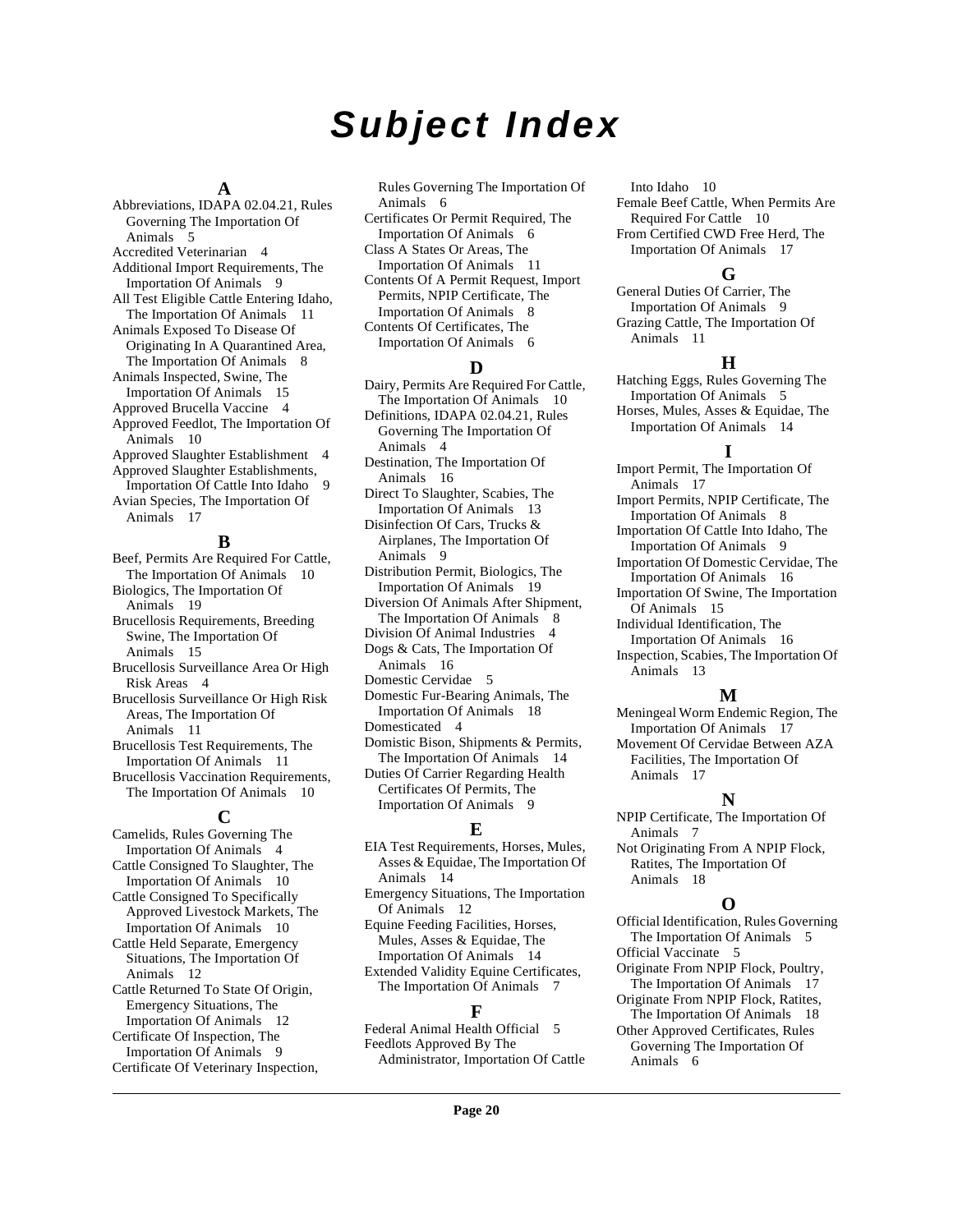# **Subject Index**

## **A**

Abbreviations, IDAPA 02.04.21, Rules Governing The Importation Of Animals [5](#page-4-1) Accredited Veterinarian [4](#page-3-3) Additional Import Requirements, The Importation Of Animals [9](#page-8-5) All Test Eligible Cattle Entering Idaho, The Importation Of Animals [11](#page-10-4) Animals Exposed To Disease Of Originating In A Quarantined Area, The Importation Of Animals [8](#page-7-5) Animals Inspected, Swine, The Importation Of Animals [15](#page-14-4) Approved Brucella Vaccine [4](#page-3-4) Approved Feedlot, The Importation Of Animals [10](#page-9-3) Approved Slaughter Establishment [4](#page-3-5) Approved Slaughter Establishments, Importation Of Cattle Into Idaho [9](#page-8-6) Avian Species, The Importation Of Animals [17](#page-16-8)

#### **B**

Beef, Permits Are Required For Cattle, The Importation Of Animals [10](#page-9-4) Biologics, The Importation Of Animals [19](#page-18-8) Brucellosis Requirements, Breeding Swine, The Importation Of Animals [15](#page-14-5) Brucellosis Surveillance Area Or High Risk Areas [4](#page-3-6) Brucellosis Surveillance Or High Risk Areas, The Importation Of Animals [11](#page-10-5) Brucellosis Test Requirements, The Importation Of Animals [11](#page-10-6) Brucellosis Vaccination Requirements,

The Importation Of Animals [10](#page-9-5)

# **C**

Camelids, Rules Governing The Importation Of Animals [4](#page-3-7) Cattle Consigned To Slaughter, The Importation Of Animals [10](#page-9-6) Cattle Consigned To Specifically Approved Livestock Markets, The Importation Of Animals [10](#page-9-7) Cattle Held Separate, Emergency Situations, The Importation Of Animals [12](#page-11-4) Cattle Returned To State Of Origin, Emergency Situations, The Importation Of Animals [12](#page-11-5) Certificate Of Inspection, The Importation Of Animals [9](#page-8-7) Certificate Of Veterinary Inspection,

Rules Governing The Importation Of Animals [6](#page-5-7)

Certificates Or Permit Required, The Importation Of Animals [6](#page-5-8)

Class A States Or Areas, The Importation Of Animals [11](#page-10-7)

Contents Of A Permit Request, Import Permits, NPIP Certificate, The Importation Of Animals [8](#page-7-6) Contents Of Certificates, The

Importation Of Animals [6](#page-5-9)

# **D**

Dairy, Permits Are Required For Cattle, The Importation Of Animals [10](#page-9-8) Definitions, IDAPA 02.04.21, Rules Governing The Importation Of Animals [4](#page-3-8) Destination, The Importation Of Animals [16](#page-15-7) Direct To Slaughter, Scabies, The Importation Of Animals [13](#page-12-4) Disinfection Of Cars, Trucks & Airplanes, The Importation Of

Animals [9](#page-8-8) Distribution Permit, Biologics, The Importation Of Animals [19](#page-18-9)

Diversion Of Animals After Shipment, The Importation Of Animals [8](#page-7-7)

Division Of Animal Industries [4](#page-3-9) Dogs & Cats, The Importation Of

Animals [16](#page-15-8)

- Domestic Cervidae [5](#page-4-2) Domestic Fur-Bearing Animals, The Importation Of Animals [18](#page-17-7)
- Domesticated [4](#page-3-10)
- Domistic Bison, Shipments & Permits, The Importation Of Animals [14](#page-13-4)

Duties Of Carrier Regarding Health Certificates Of Permits, The Importation Of Animals [9](#page-8-9)

#### **E**

EIA Test Requirements, Horses, Mules, Asses & Equidae, The Importation Of Animals [14](#page-13-5)

Emergency Situations, The Importation Of Animals [12](#page-11-6)

Equine Feeding Facilities, Horses, Mules, Asses & Equidae, The Importation Of Animals [14](#page-13-6) Extended Validity Equine Certificates,

The Importation Of Animals [7](#page-6-2)

# **F**

Federal Animal Health Official [5](#page-4-3) Feedlots Approved By The Administrator, Importation Of Cattle

Into Idaho [10](#page-9-9) Female Beef Cattle, When Permits Are Required For Cattle [10](#page-9-10) From Certified CWD Free Herd, The Importation Of Animals [17](#page-16-9)

# **G**

General Duties Of Carrier, The Importation Of Animals [9](#page-8-10) Grazing Cattle, The Importation Of Animals [11](#page-10-8)

#### **H**

Hatching Eggs, Rules Governing The Importation Of Animals [5](#page-4-4) Horses, Mules, Asses & Equidae, The Importation Of Animals [14](#page-13-7)

## **I**

Import Permit, The Importation Of Animals [17](#page-16-10) Import Permits, NPIP Certificate, The Importation Of Animals [8](#page-7-8) Importation Of Cattle Into Idaho, The Importation Of Animals [9](#page-8-11) Importation Of Domestic Cervidae, The Importation Of Animals [16](#page-15-9) Importation Of Swine, The Importation Of Animals [15](#page-14-6) Individual Identification, The Importation Of Animals [16](#page-15-10) Inspection, Scabies, The Importation Of Animals [13](#page-12-5)

#### **M**

Meningeal Worm Endemic Region, The Importation Of Animals [17](#page-16-11) Movement Of Cervidae Between AZA

Facilities, The Importation Of Animals [17](#page-16-12)

#### **N**

NPIP Certificate, The Importation Of Animals [7](#page-6-3) Not Originating From A NPIP Flock,

Ratites, The Importation Of Animals [18](#page-17-8)

#### **O**

Official Identification, Rules Governing The Importation Of Animals [5](#page-4-5) Official Vaccinate [5](#page-4-6) Originate From NPIP Flock, Poultry, The Importation Of Animals [17](#page-16-13)

Originate From NPIP Flock, Ratites,

The Importation Of Animals [18](#page-17-9) Other Approved Certificates, Rules

Governing The Importation Of Animals [6](#page-5-10)